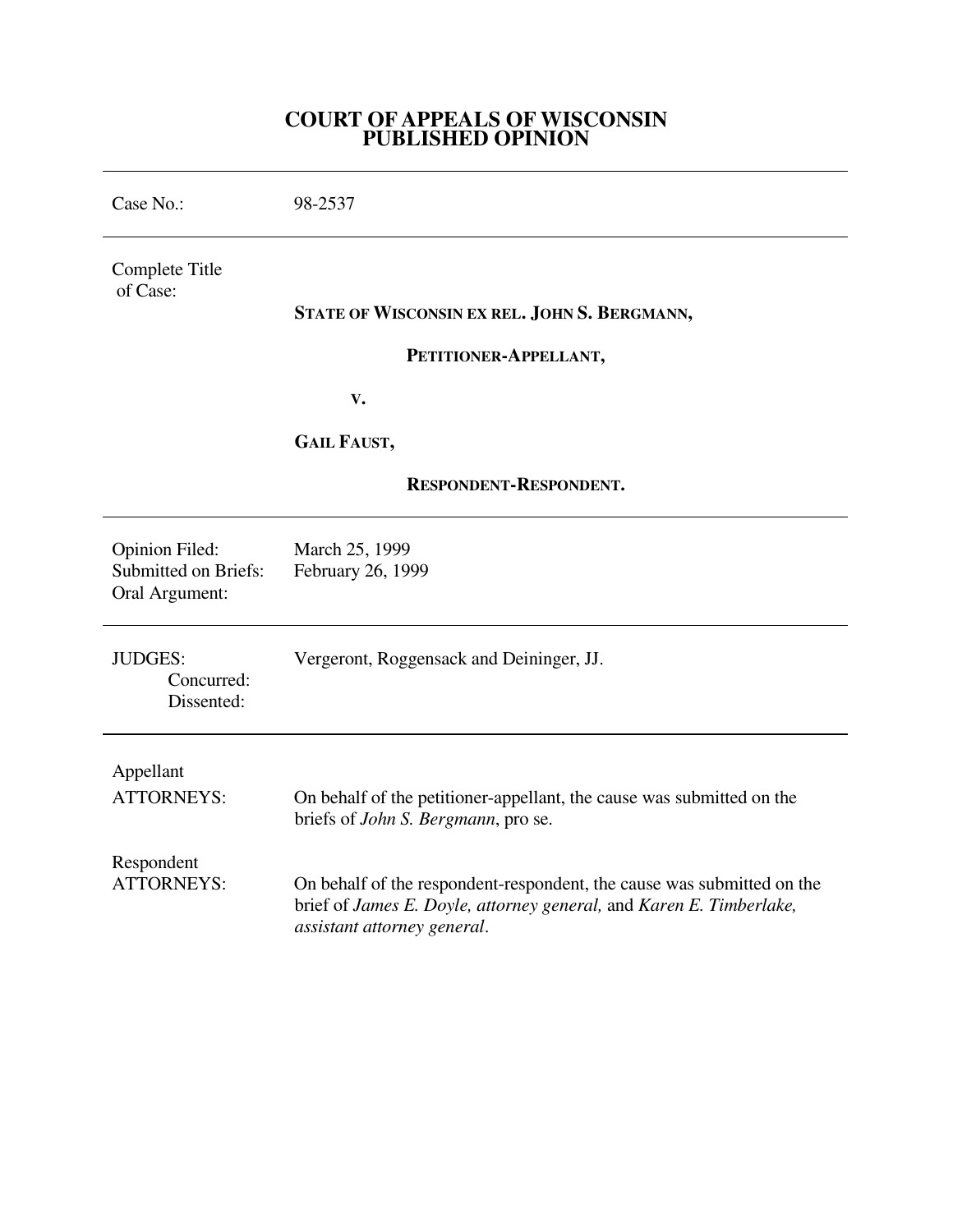# **COURT OF APPEALS OF WISCONSIN PUBLISHED OPINION**

| Case No.:                                                              | 98-2537                                                                                                                                                                      |
|------------------------------------------------------------------------|------------------------------------------------------------------------------------------------------------------------------------------------------------------------------|
| Complete Title<br>of Case:                                             | STATE OF WISCONSIN EX REL. JOHN S. BERGMANN,<br>PETITIONER-APPELLANT,                                                                                                        |
|                                                                        | $\mathbf{V}$ .                                                                                                                                                               |
|                                                                        | <b>GAIL FAUST,</b>                                                                                                                                                           |
| RESPONDENT-RESPONDENT.                                                 |                                                                                                                                                                              |
| <b>Opinion Filed:</b><br><b>Submitted on Briefs:</b><br>Oral Argument: | March 25, 1999<br>February 26, 1999                                                                                                                                          |
| <b>JUDGES:</b><br>Concurred:<br>Dissented:                             | Vergeront, Roggensack and Deininger, JJ.                                                                                                                                     |
| Appellant<br><b>ATTORNEYS:</b>                                         | On behalf of the petitioner-appellant, the cause was submitted on the<br>briefs of <i>John S. Bergmann</i> , pro se.                                                         |
| Respondent<br><b>ATTORNEYS:</b>                                        | On behalf of the respondent-respondent, the cause was submitted on the<br>brief of James E. Doyle, attorney general, and Karen E. Timberlake,<br>assistant attorney general. |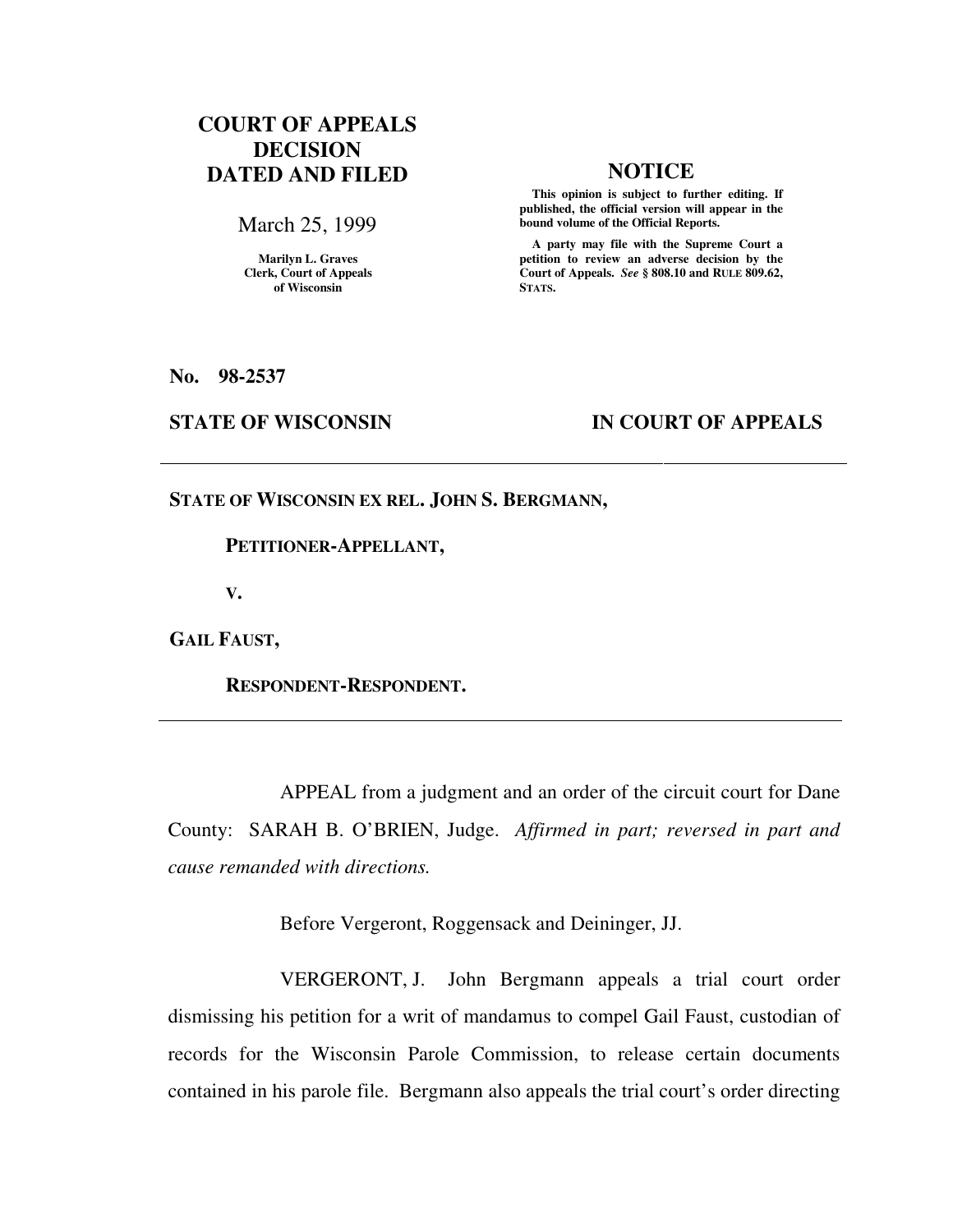# **COURT OF APPEALS DECISION DATED AND FILED NOTICE**

March 25, 1999

**Marilyn L. Graves Clerk, Court of Appeals of Wisconsin** 

 **This opinion is subject to further editing. If published, the official version will appear in the bound volume of the Official Reports.**

 **A party may file with the Supreme Court a petition to review an adverse decision by the Court of Appeals.** *See* **§ 808.10 and RULE 809.62, STATS.** 

**No. 98-2537** 

## **STATE OF WISCONSIN IN COURT OF APPEALS**

**STATE OF WISCONSIN EX REL. JOHN S. BERGMANN,** 

 **PETITIONER-APPELLANT,** 

**V.** 

**GAIL FAUST,** 

 **RESPONDENT-RESPONDENT.** 

 APPEAL from a judgment and an order of the circuit court for Dane County: SARAH B. O'BRIEN, Judge. *Affirmed in part; reversed in part and cause remanded with directions.*

Before Vergeront, Roggensack and Deininger, JJ.

 VERGERONT, J. John Bergmann appeals a trial court order dismissing his petition for a writ of mandamus to compel Gail Faust, custodian of records for the Wisconsin Parole Commission, to release certain documents contained in his parole file. Bergmann also appeals the trial court's order directing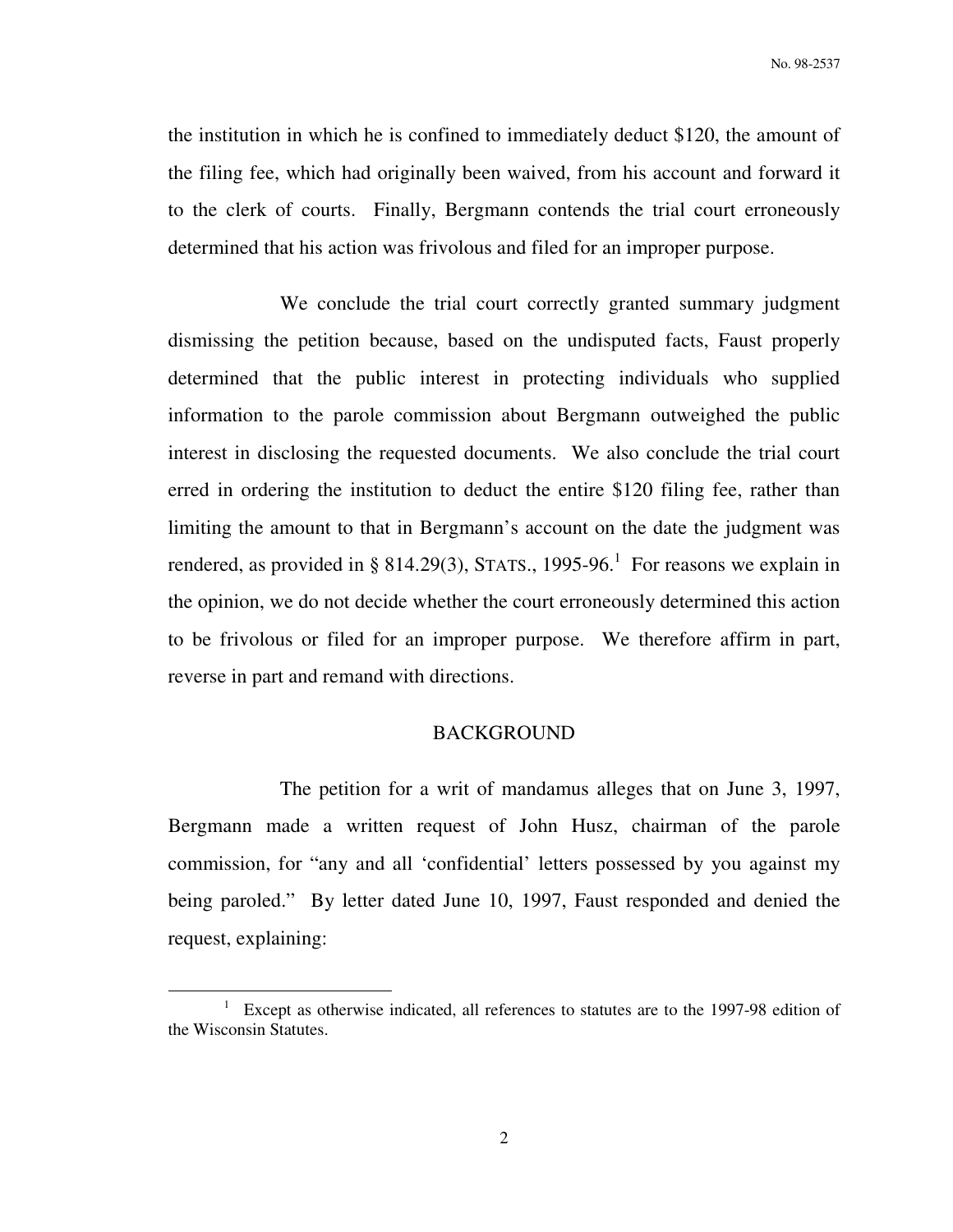the institution in which he is confined to immediately deduct \$120, the amount of the filing fee, which had originally been waived, from his account and forward it to the clerk of courts. Finally, Bergmann contends the trial court erroneously determined that his action was frivolous and filed for an improper purpose.

 We conclude the trial court correctly granted summary judgment dismissing the petition because, based on the undisputed facts, Faust properly determined that the public interest in protecting individuals who supplied information to the parole commission about Bergmann outweighed the public interest in disclosing the requested documents. We also conclude the trial court erred in ordering the institution to deduct the entire \$120 filing fee, rather than limiting the amount to that in Bergmann's account on the date the judgment was rendered, as provided in § 814.29(3), STATS., 1995-96.<sup>1</sup> For reasons we explain in the opinion, we do not decide whether the court erroneously determined this action to be frivolous or filed for an improper purpose. We therefore affirm in part, reverse in part and remand with directions.

#### BACKGROUND

 The petition for a writ of mandamus alleges that on June 3, 1997, Bergmann made a written request of John Husz, chairman of the parole commission, for "any and all 'confidential' letters possessed by you against my being paroled." By letter dated June 10, 1997, Faust responded and denied the request, explaining:

<sup>&</sup>lt;sup>1</sup> Except as otherwise indicated, all references to statutes are to the 1997-98 edition of the Wisconsin Statutes.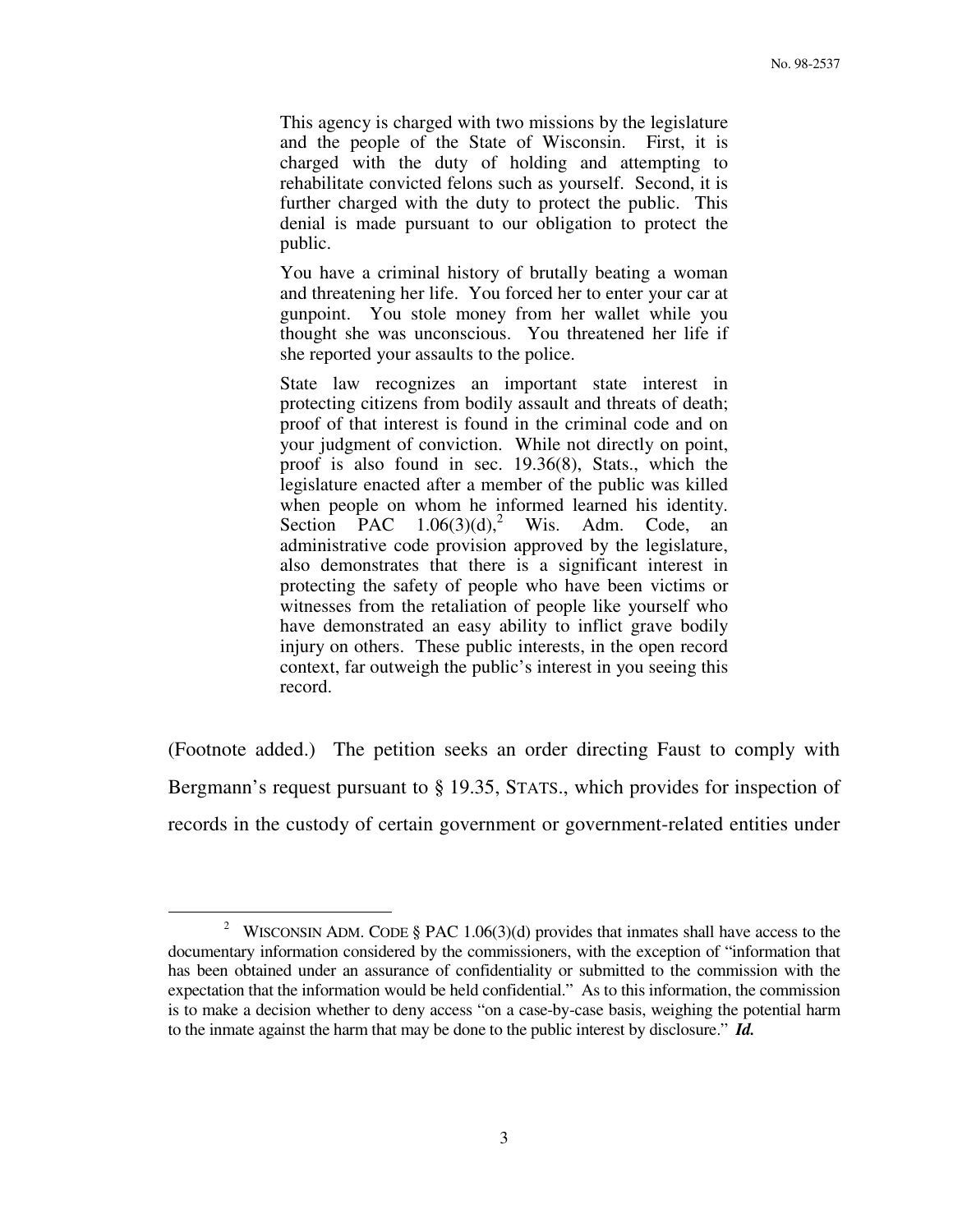This agency is charged with two missions by the legislature and the people of the State of Wisconsin. First, it is charged with the duty of holding and attempting to rehabilitate convicted felons such as yourself. Second, it is further charged with the duty to protect the public. This denial is made pursuant to our obligation to protect the public.

You have a criminal history of brutally beating a woman and threatening her life. You forced her to enter your car at gunpoint. You stole money from her wallet while you thought she was unconscious. You threatened her life if she reported your assaults to the police.

State law recognizes an important state interest in protecting citizens from bodily assault and threats of death; proof of that interest is found in the criminal code and on your judgment of conviction. While not directly on point, proof is also found in sec. 19.36(8), Stats., which the legislature enacted after a member of the public was killed when people on whom he informed learned his identity. Section PAC  $1.06(3)(d)$ ,<sup>2</sup> Wis. Adm. Code, an administrative code provision approved by the legislature, also demonstrates that there is a significant interest in protecting the safety of people who have been victims or witnesses from the retaliation of people like yourself who have demonstrated an easy ability to inflict grave bodily injury on others. These public interests, in the open record context, far outweigh the public's interest in you seeing this record.

(Footnote added.) The petition seeks an order directing Faust to comply with Bergmann's request pursuant to § 19.35, STATS., which provides for inspection of records in the custody of certain government or government-related entities under

<sup>&</sup>lt;sup>2</sup> WISCONSIN ADM. CODE § PAC 1.06(3)(d) provides that inmates shall have access to the documentary information considered by the commissioners, with the exception of "information that has been obtained under an assurance of confidentiality or submitted to the commission with the expectation that the information would be held confidential." As to this information, the commission is to make a decision whether to deny access "on a case-by-case basis, weighing the potential harm to the inmate against the harm that may be done to the public interest by disclosure." *Id.*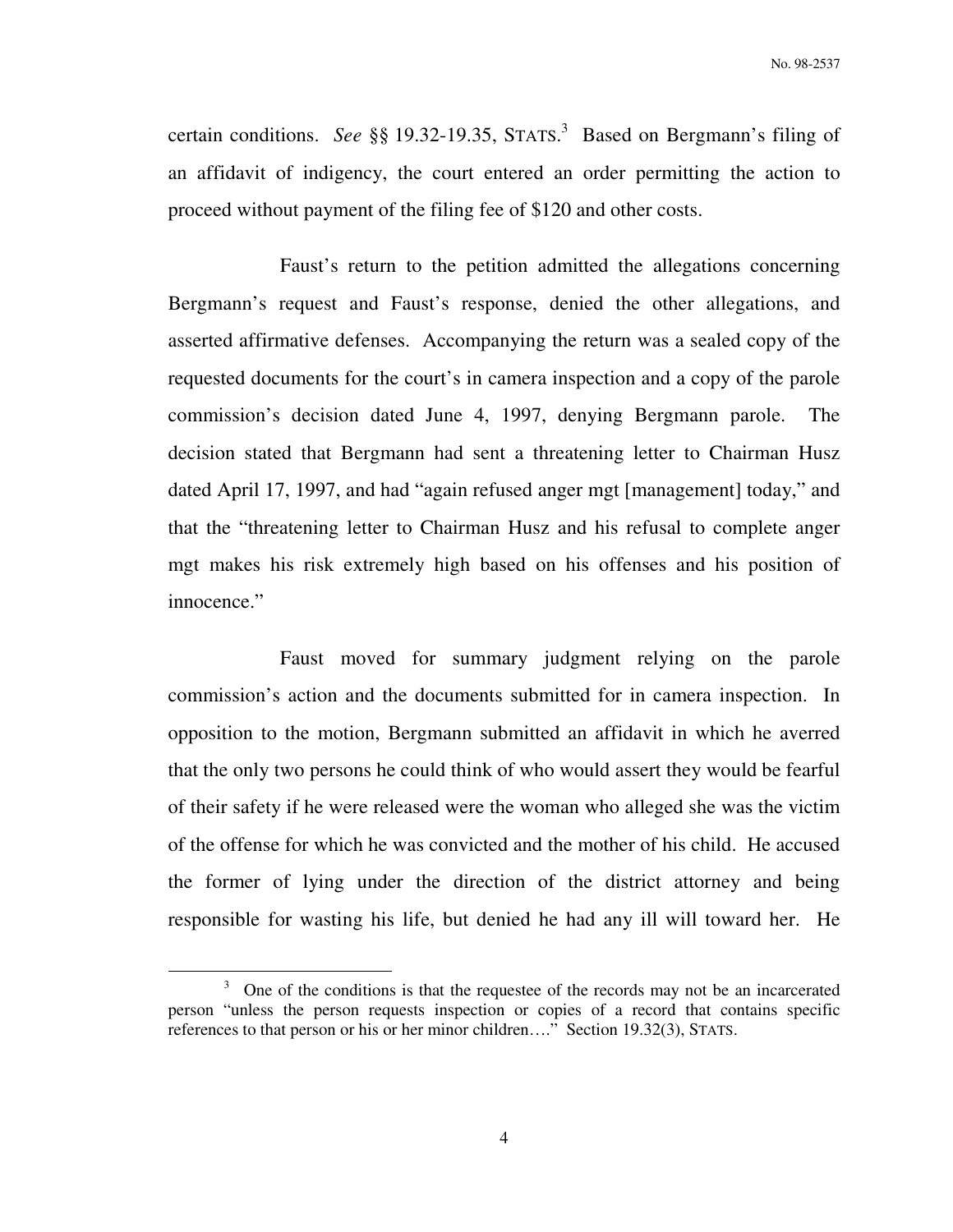certain conditions. *See* §§ 19.32-19.35, STATS. 3 Based on Bergmann's filing of an affidavit of indigency, the court entered an order permitting the action to proceed without payment of the filing fee of \$120 and other costs.

 Faust's return to the petition admitted the allegations concerning Bergmann's request and Faust's response, denied the other allegations, and asserted affirmative defenses. Accompanying the return was a sealed copy of the requested documents for the court's in camera inspection and a copy of the parole commission's decision dated June 4, 1997, denying Bergmann parole. The decision stated that Bergmann had sent a threatening letter to Chairman Husz dated April 17, 1997, and had "again refused anger mgt [management] today," and that the "threatening letter to Chairman Husz and his refusal to complete anger mgt makes his risk extremely high based on his offenses and his position of innocence."

 Faust moved for summary judgment relying on the parole commission's action and the documents submitted for in camera inspection. In opposition to the motion, Bergmann submitted an affidavit in which he averred that the only two persons he could think of who would assert they would be fearful of their safety if he were released were the woman who alleged she was the victim of the offense for which he was convicted and the mother of his child. He accused the former of lying under the direction of the district attorney and being responsible for wasting his life, but denied he had any ill will toward her. He

 $3$  One of the conditions is that the requestee of the records may not be an incarcerated person "unless the person requests inspection or copies of a record that contains specific references to that person or his or her minor children…." Section 19.32(3), STATS.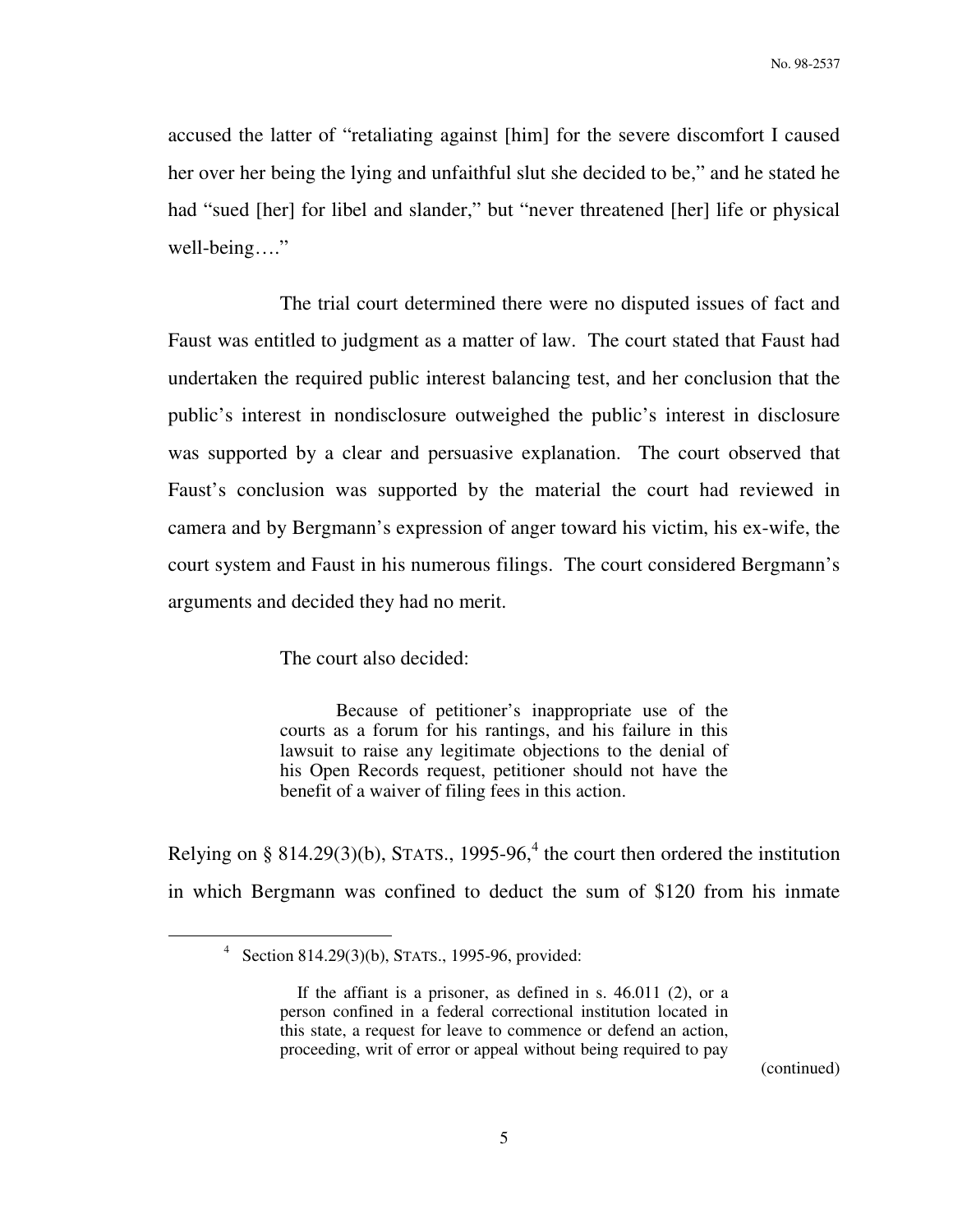accused the latter of "retaliating against [him] for the severe discomfort I caused her over her being the lying and unfaithful slut she decided to be," and he stated he had "sued [her] for libel and slander," but "never threatened [her] life or physical well-being…."

 The trial court determined there were no disputed issues of fact and Faust was entitled to judgment as a matter of law. The court stated that Faust had undertaken the required public interest balancing test, and her conclusion that the public's interest in nondisclosure outweighed the public's interest in disclosure was supported by a clear and persuasive explanation. The court observed that Faust's conclusion was supported by the material the court had reviewed in camera and by Bergmann's expression of anger toward his victim, his ex-wife, the court system and Faust in his numerous filings. The court considered Bergmann's arguments and decided they had no merit.

The court also decided:

 Because of petitioner's inappropriate use of the courts as a forum for his rantings, and his failure in this lawsuit to raise any legitimate objections to the denial of his Open Records request, petitioner should not have the benefit of a waiver of filing fees in this action.

Relying on § 814.29(3)(b), STATS., 1995-96,<sup>4</sup> the court then ordered the institution in which Bergmann was confined to deduct the sum of \$120 from his inmate

 $\overline{a}$ 

<sup>4</sup> Section 814.29(3)(b), STATS., 1995-96, provided:

If the affiant is a prisoner, as defined in s. 46.011 (2), or a person confined in a federal correctional institution located in this state, a request for leave to commence or defend an action, proceeding, writ of error or appeal without being required to pay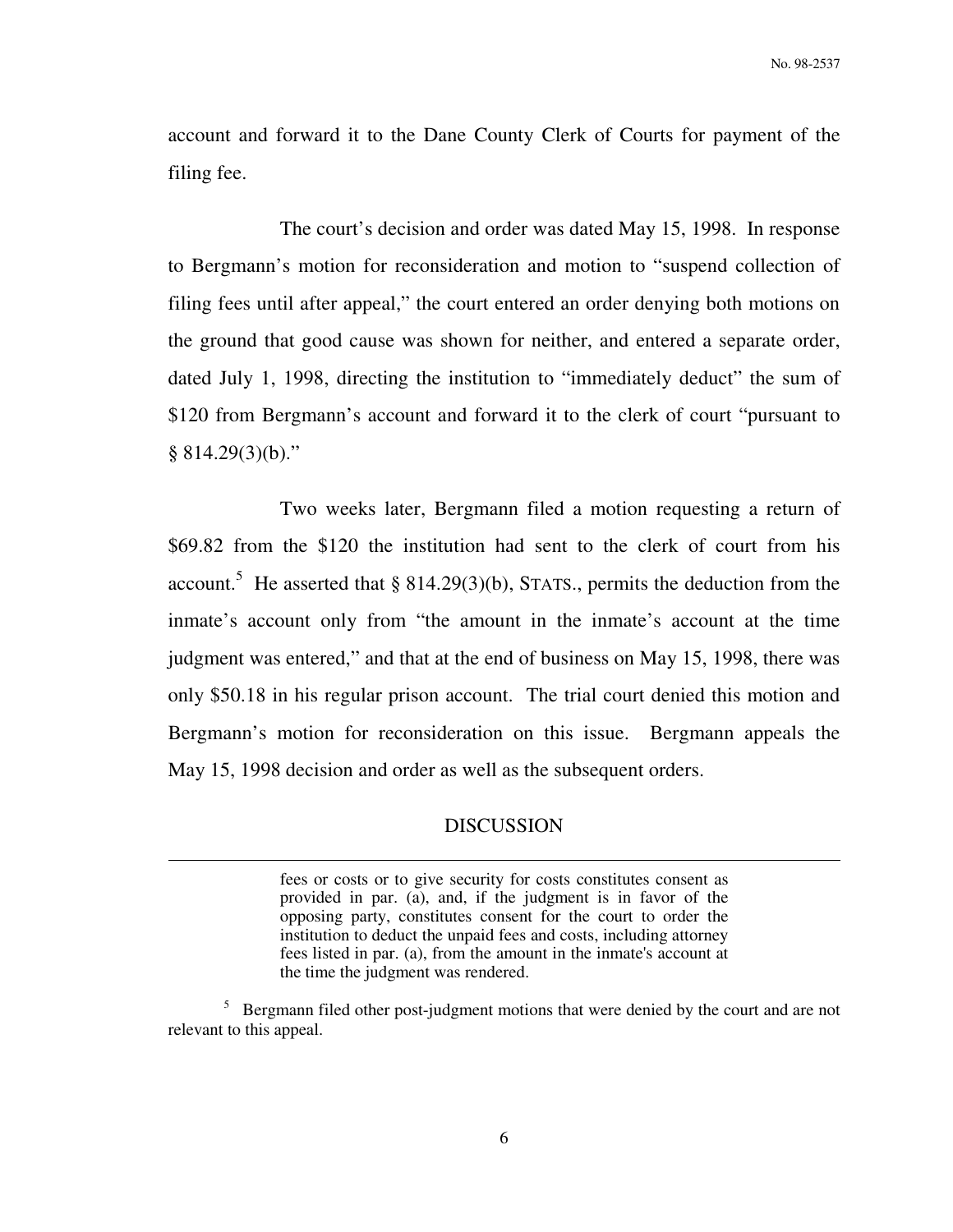account and forward it to the Dane County Clerk of Courts for payment of the filing fee.

 The court's decision and order was dated May 15, 1998. In response to Bergmann's motion for reconsideration and motion to "suspend collection of filing fees until after appeal," the court entered an order denying both motions on the ground that good cause was shown for neither, and entered a separate order, dated July 1, 1998, directing the institution to "immediately deduct" the sum of \$120 from Bergmann's account and forward it to the clerk of court "pursuant to  $§ 814.29(3)(b)$ ."

 Two weeks later, Bergmann filed a motion requesting a return of \$69.82 from the \$120 the institution had sent to the clerk of court from his account.<sup>5</sup> He asserted that  $\S 814.29(3)(b)$ , STATS., permits the deduction from the inmate's account only from "the amount in the inmate's account at the time judgment was entered," and that at the end of business on May 15, 1998, there was only \$50.18 in his regular prison account. The trial court denied this motion and Bergmann's motion for reconsideration on this issue. Bergmann appeals the May 15, 1998 decision and order as well as the subsequent orders.

### DISCUSSION

 $\overline{a}$ 

fees or costs or to give security for costs constitutes consent as provided in par. (a), and, if the judgment is in favor of the opposing party, constitutes consent for the court to order the institution to deduct the unpaid fees and costs, including attorney fees listed in par. (a), from the amount in the inmate's account at the time the judgment was rendered.

<sup>&</sup>lt;sup>5</sup> Bergmann filed other post-judgment motions that were denied by the court and are not relevant to this appeal.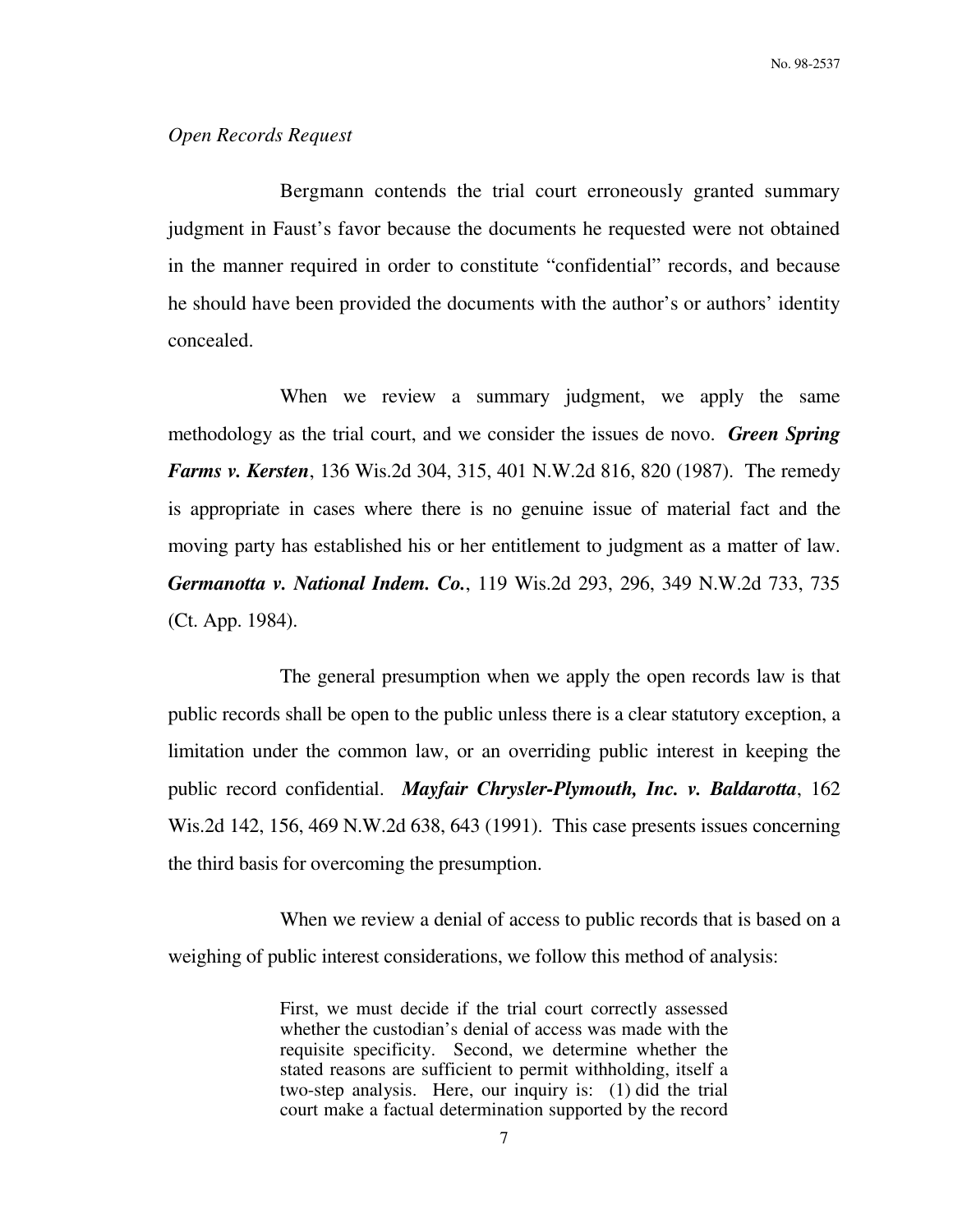### *Open Records Request*

 Bergmann contends the trial court erroneously granted summary judgment in Faust's favor because the documents he requested were not obtained in the manner required in order to constitute "confidential" records, and because he should have been provided the documents with the author's or authors' identity concealed.

When we review a summary judgment, we apply the same methodology as the trial court, and we consider the issues de novo. *Green Spring Farms v. Kersten*, 136 Wis.2d 304, 315, 401 N.W.2d 816, 820 (1987). The remedy is appropriate in cases where there is no genuine issue of material fact and the moving party has established his or her entitlement to judgment as a matter of law. *Germanotta v. National Indem. Co.*, 119 Wis.2d 293, 296, 349 N.W.2d 733, 735 (Ct. App. 1984).

 The general presumption when we apply the open records law is that public records shall be open to the public unless there is a clear statutory exception, a limitation under the common law, or an overriding public interest in keeping the public record confidential. *Mayfair Chrysler-Plymouth, Inc. v. Baldarotta*, 162 Wis.2d 142, 156, 469 N.W.2d 638, 643 (1991). This case presents issues concerning the third basis for overcoming the presumption.

 When we review a denial of access to public records that is based on a weighing of public interest considerations, we follow this method of analysis:

> First, we must decide if the trial court correctly assessed whether the custodian's denial of access was made with the requisite specificity. Second, we determine whether the stated reasons are sufficient to permit withholding, itself a two-step analysis. Here, our inquiry is: (1) did the trial court make a factual determination supported by the record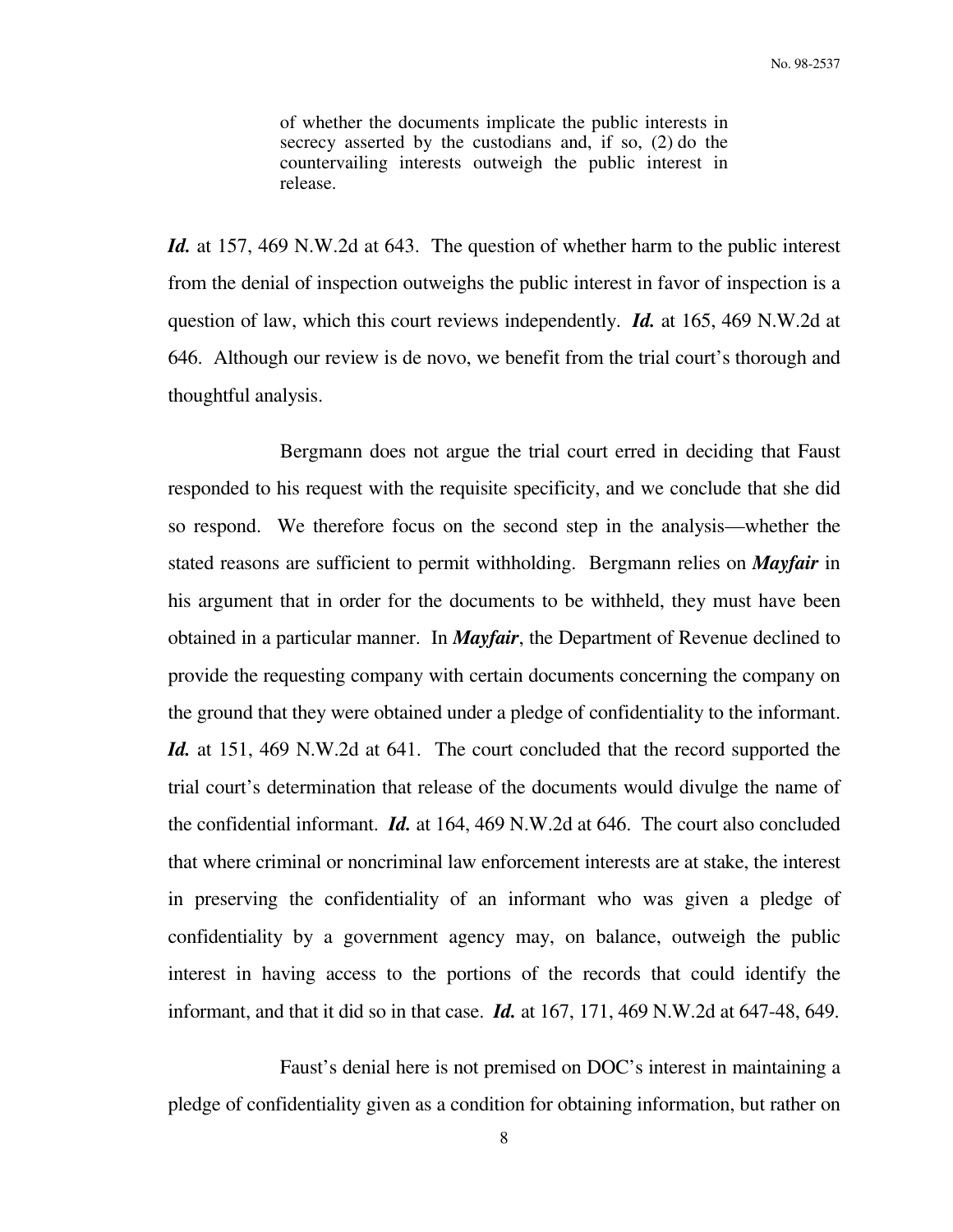of whether the documents implicate the public interests in secrecy asserted by the custodians and, if so, (2) do the countervailing interests outweigh the public interest in release.

*Id.* at 157, 469 N.W.2d at 643. The question of whether harm to the public interest from the denial of inspection outweighs the public interest in favor of inspection is a question of law, which this court reviews independently. *Id.* at 165, 469 N.W.2d at 646. Although our review is de novo, we benefit from the trial court's thorough and thoughtful analysis.

 Bergmann does not argue the trial court erred in deciding that Faust responded to his request with the requisite specificity, and we conclude that she did so respond. We therefore focus on the second step in the analysis—whether the stated reasons are sufficient to permit withholding. Bergmann relies on *Mayfair* in his argument that in order for the documents to be withheld, they must have been obtained in a particular manner. In *Mayfair*, the Department of Revenue declined to provide the requesting company with certain documents concerning the company on the ground that they were obtained under a pledge of confidentiality to the informant. *Id.* at 151, 469 N.W.2d at 641. The court concluded that the record supported the trial court's determination that release of the documents would divulge the name of the confidential informant. *Id.* at 164, 469 N.W.2d at 646. The court also concluded that where criminal or noncriminal law enforcement interests are at stake, the interest in preserving the confidentiality of an informant who was given a pledge of confidentiality by a government agency may, on balance, outweigh the public interest in having access to the portions of the records that could identify the informant, and that it did so in that case. *Id.* at 167, 171, 469 N.W.2d at 647-48, 649.

 Faust's denial here is not premised on DOC's interest in maintaining a pledge of confidentiality given as a condition for obtaining information, but rather on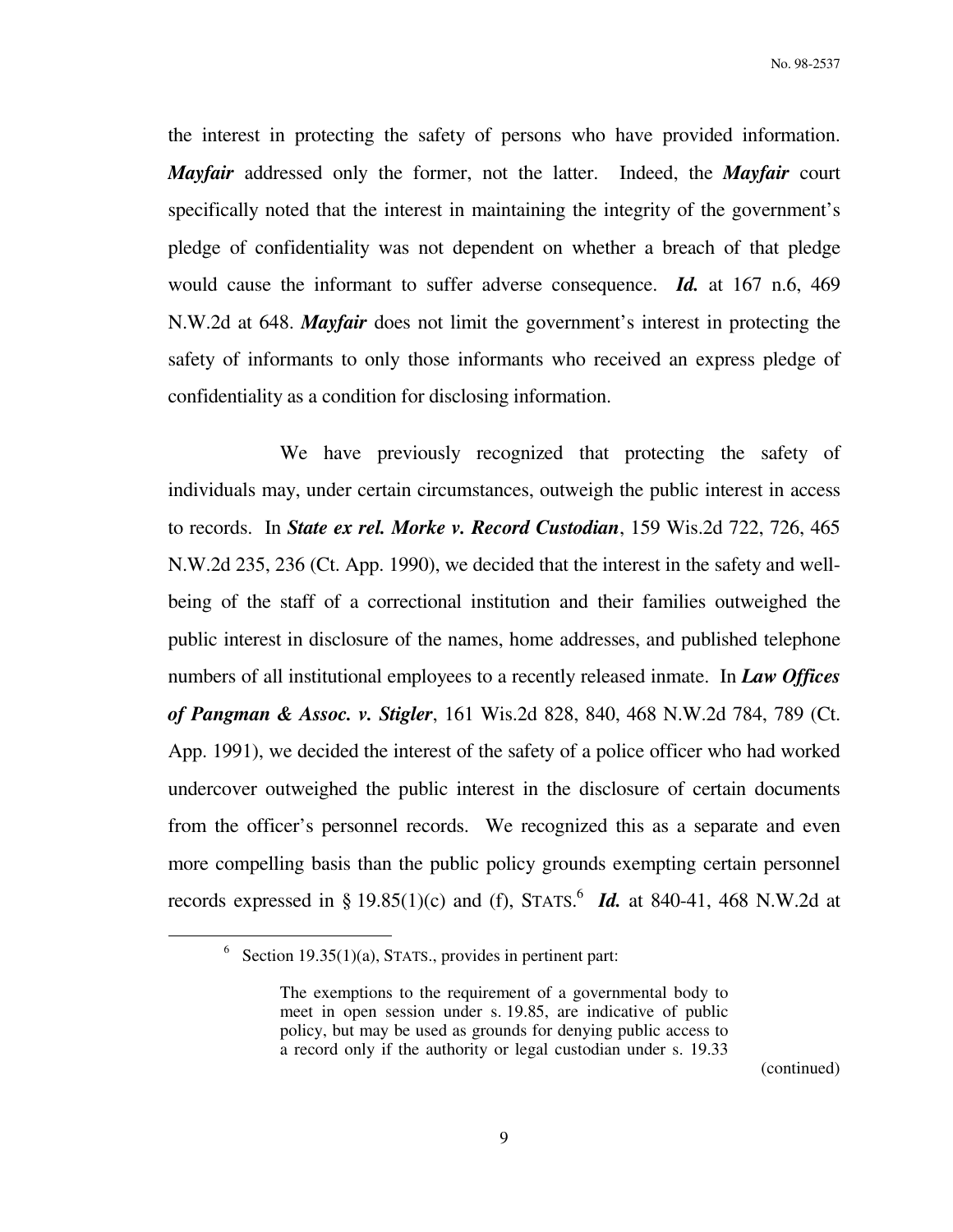the interest in protecting the safety of persons who have provided information. *Mayfair* addressed only the former, not the latter. Indeed, the *Mayfair* court specifically noted that the interest in maintaining the integrity of the government's pledge of confidentiality was not dependent on whether a breach of that pledge would cause the informant to suffer adverse consequence. *Id.* at 167 n.6, 469 N.W.2d at 648. *Mayfair* does not limit the government's interest in protecting the safety of informants to only those informants who received an express pledge of confidentiality as a condition for disclosing information.

 We have previously recognized that protecting the safety of individuals may, under certain circumstances, outweigh the public interest in access to records. In *State ex rel. Morke v. Record Custodian*, 159 Wis.2d 722, 726, 465 N.W.2d 235, 236 (Ct. App. 1990), we decided that the interest in the safety and wellbeing of the staff of a correctional institution and their families outweighed the public interest in disclosure of the names, home addresses, and published telephone numbers of all institutional employees to a recently released inmate. In *Law Offices of Pangman & Assoc. v. Stigler*, 161 Wis.2d 828, 840, 468 N.W.2d 784, 789 (Ct. App. 1991), we decided the interest of the safety of a police officer who had worked undercover outweighed the public interest in the disclosure of certain documents from the officer's personnel records. We recognized this as a separate and even more compelling basis than the public policy grounds exempting certain personnel records expressed in § 19.85(1)(c) and (f), STATS.<sup>6</sup> *Id.* at 840-41, 468 N.W.2d at

 $\overline{a}$ 

<sup>&</sup>lt;sup>6</sup> Section 19.35(1)(a), STATS., provides in pertinent part:

The exemptions to the requirement of a governmental body to meet in open session under s. 19.85, are indicative of public policy, but may be used as grounds for denying public access to a record only if the authority or legal custodian under s. 19.33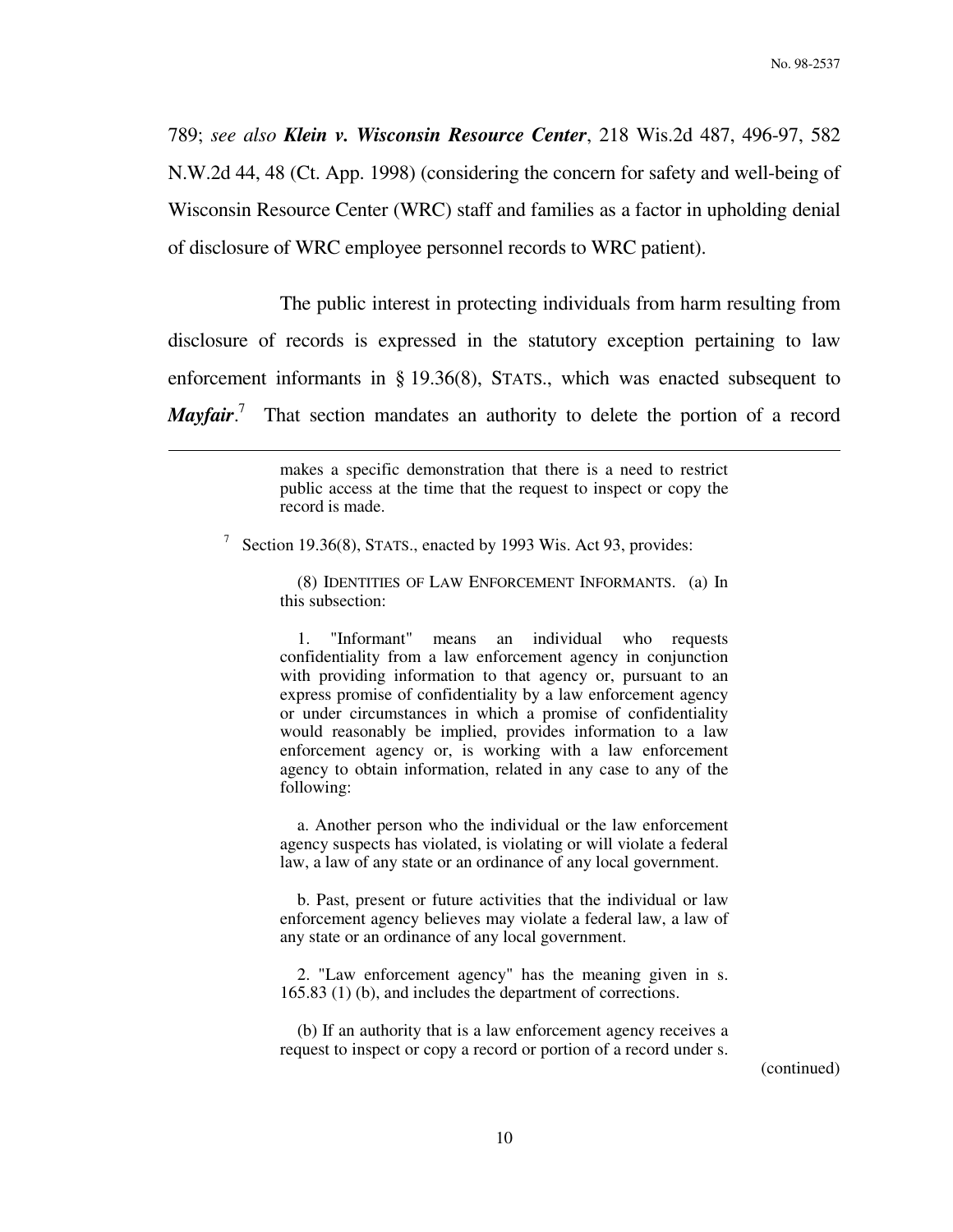789; *see also Klein v. Wisconsin Resource Center*, 218 Wis.2d 487, 496-97, 582 N.W.2d 44, 48 (Ct. App. 1998) (considering the concern for safety and well-being of Wisconsin Resource Center (WRC) staff and families as a factor in upholding denial of disclosure of WRC employee personnel records to WRC patient).

 The public interest in protecting individuals from harm resulting from disclosure of records is expressed in the statutory exception pertaining to law enforcement informants in § 19.36(8), STATS., which was enacted subsequent to *Mayfair*.<sup>7</sup> That section mandates an authority to delete the portion of a record

> makes a specific demonstration that there is a need to restrict public access at the time that the request to inspect or copy the record is made.

<sup>7</sup> Section 19.36(8), STATS., enacted by 1993 Wis. Act 93, provides:

 $\overline{a}$ 

 (8) IDENTITIES OF LAW ENFORCEMENT INFORMANTS. (a) In this subsection:

 1. "Informant" means an individual who requests confidentiality from a law enforcement agency in conjunction with providing information to that agency or, pursuant to an express promise of confidentiality by a law enforcement agency or under circumstances in which a promise of confidentiality would reasonably be implied, provides information to a law enforcement agency or, is working with a law enforcement agency to obtain information, related in any case to any of the following:

 a. Another person who the individual or the law enforcement agency suspects has violated, is violating or will violate a federal law, a law of any state or an ordinance of any local government.

 b. Past, present or future activities that the individual or law enforcement agency believes may violate a federal law, a law of any state or an ordinance of any local government.

 2. "Law enforcement agency" has the meaning given in s. 165.83 (1) (b), and includes the department of corrections.

 (b) If an authority that is a law enforcement agency receives a request to inspect or copy a record or portion of a record under s.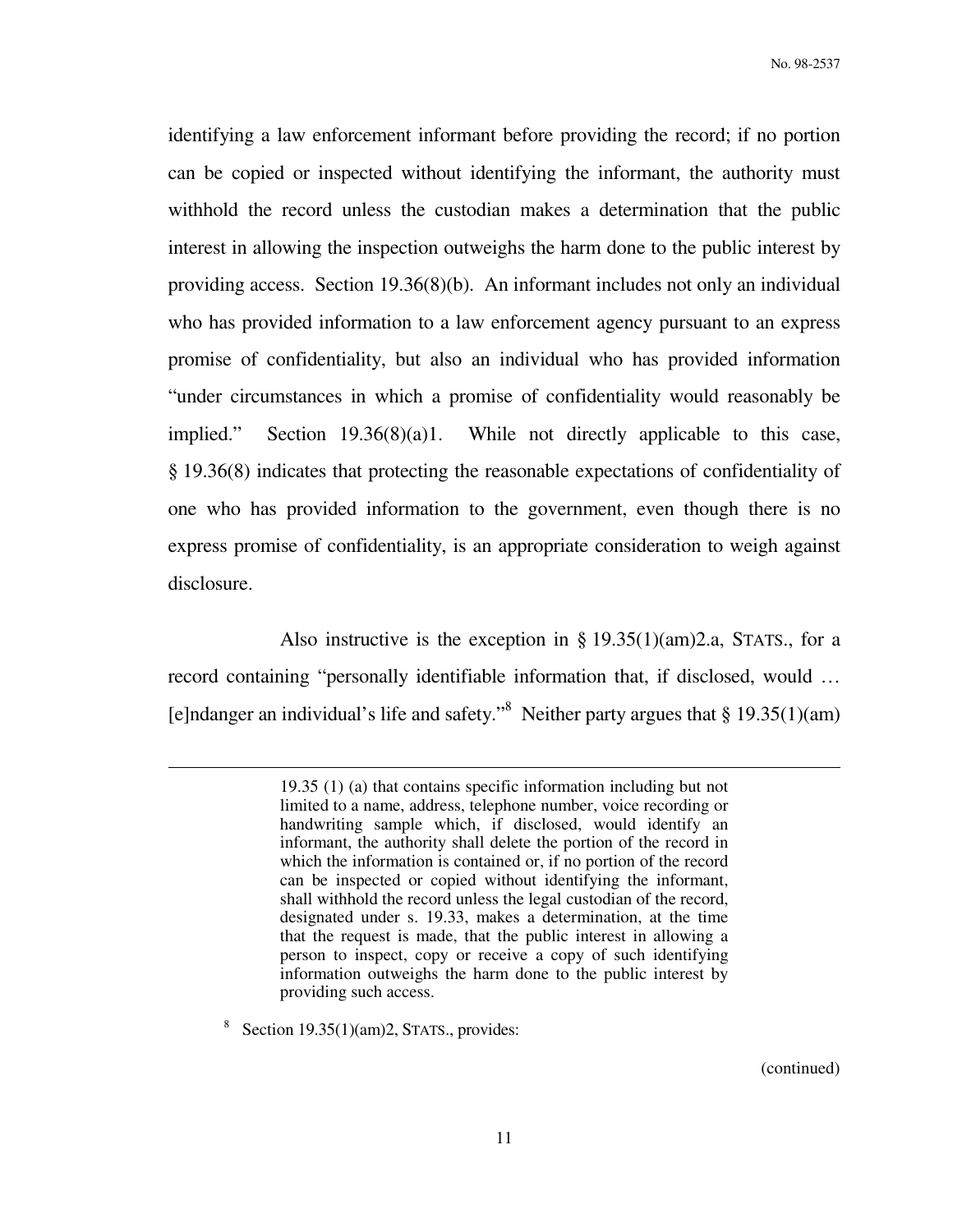identifying a law enforcement informant before providing the record; if no portion can be copied or inspected without identifying the informant, the authority must withhold the record unless the custodian makes a determination that the public interest in allowing the inspection outweighs the harm done to the public interest by providing access. Section 19.36(8)(b). An informant includes not only an individual who has provided information to a law enforcement agency pursuant to an express promise of confidentiality, but also an individual who has provided information "under circumstances in which a promise of confidentiality would reasonably be implied." Section 19.36(8)(a)1. While not directly applicable to this case, § 19.36(8) indicates that protecting the reasonable expectations of confidentiality of one who has provided information to the government, even though there is no express promise of confidentiality, is an appropriate consideration to weigh against disclosure.

Also instructive is the exception in  $\S 19.35(1)(am)2.a$ , STATS., for a record containing "personally identifiable information that, if disclosed, would … [e]ndanger an individual's life and safety."<sup>8</sup> Neither party argues that  $\S 19.35(1)(am)$ 

8 Section 19.35(1)(am)2, STATS., provides:

 $\overline{a}$ 

<sup>19.35 (1) (</sup>a) that contains specific information including but not limited to a name, address, telephone number, voice recording or handwriting sample which, if disclosed, would identify an informant, the authority shall delete the portion of the record in which the information is contained or, if no portion of the record can be inspected or copied without identifying the informant, shall withhold the record unless the legal custodian of the record, designated under s. 19.33, makes a determination, at the time that the request is made, that the public interest in allowing a person to inspect, copy or receive a copy of such identifying information outweighs the harm done to the public interest by providing such access.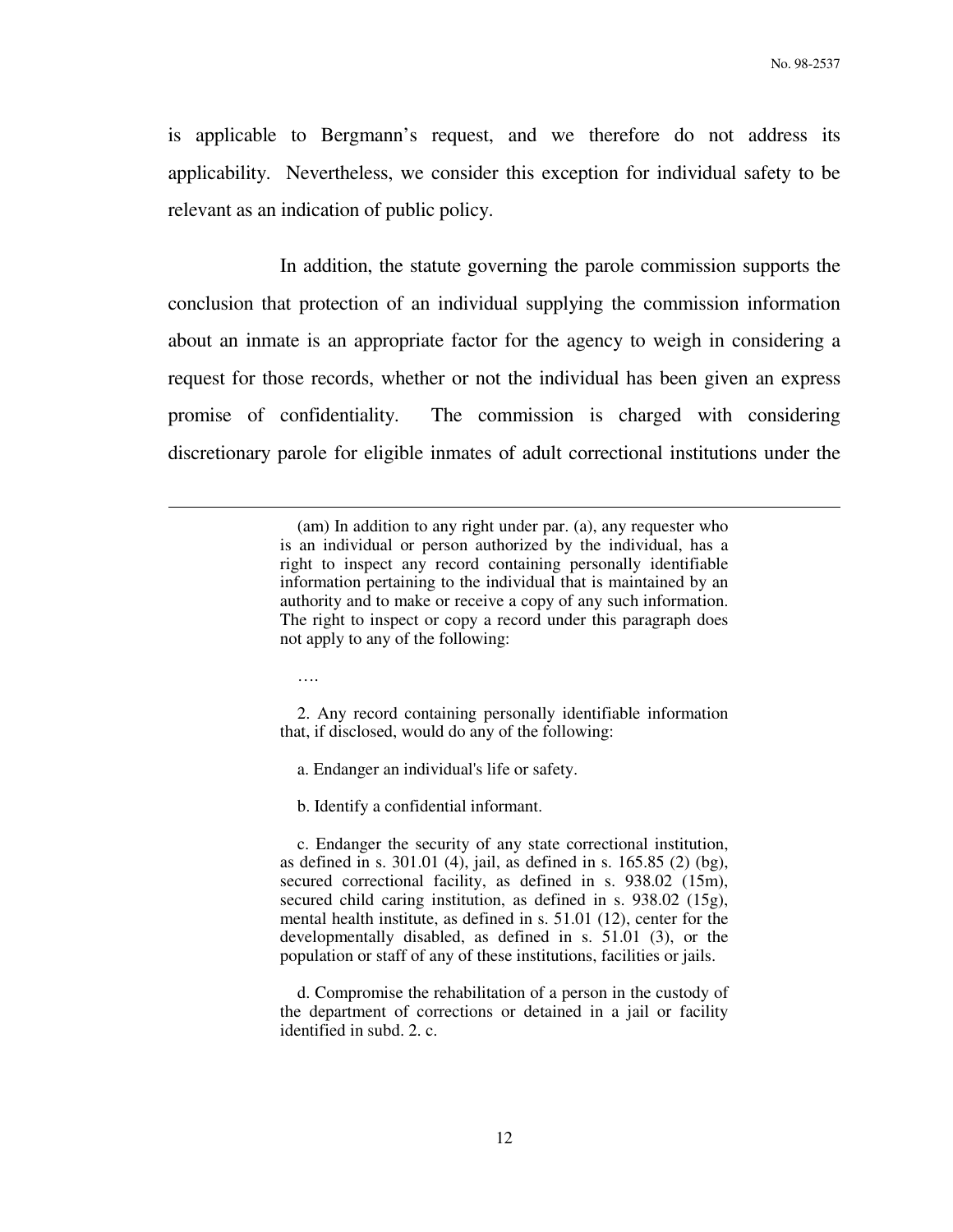is applicable to Bergmann's request, and we therefore do not address its applicability. Nevertheless, we consider this exception for individual safety to be relevant as an indication of public policy.

 In addition, the statute governing the parole commission supports the conclusion that protection of an individual supplying the commission information about an inmate is an appropriate factor for the agency to weigh in considering a request for those records, whether or not the individual has been given an express promise of confidentiality. The commission is charged with considering discretionary parole for eligible inmates of adult correctional institutions under the

> (am) In addition to any right under par. (a), any requester who is an individual or person authorized by the individual, has a right to inspect any record containing personally identifiable information pertaining to the individual that is maintained by an authority and to make or receive a copy of any such information. The right to inspect or copy a record under this paragraph does not apply to any of the following:

….

 $\overline{a}$ 

 2. Any record containing personally identifiable information that, if disclosed, would do any of the following:

a. Endanger an individual's life or safety.

b. Identify a confidential informant.

 c. Endanger the security of any state correctional institution, as defined in s. 301.01 (4), jail, as defined in s. 165.85 (2) (bg), secured correctional facility, as defined in s. 938.02 (15m), secured child caring institution, as defined in s. 938.02 (15g), mental health institute, as defined in s. 51.01 (12), center for the developmentally disabled, as defined in s. 51.01 (3), or the population or staff of any of these institutions, facilities or jails.

 d. Compromise the rehabilitation of a person in the custody of the department of corrections or detained in a jail or facility identified in subd. 2. c.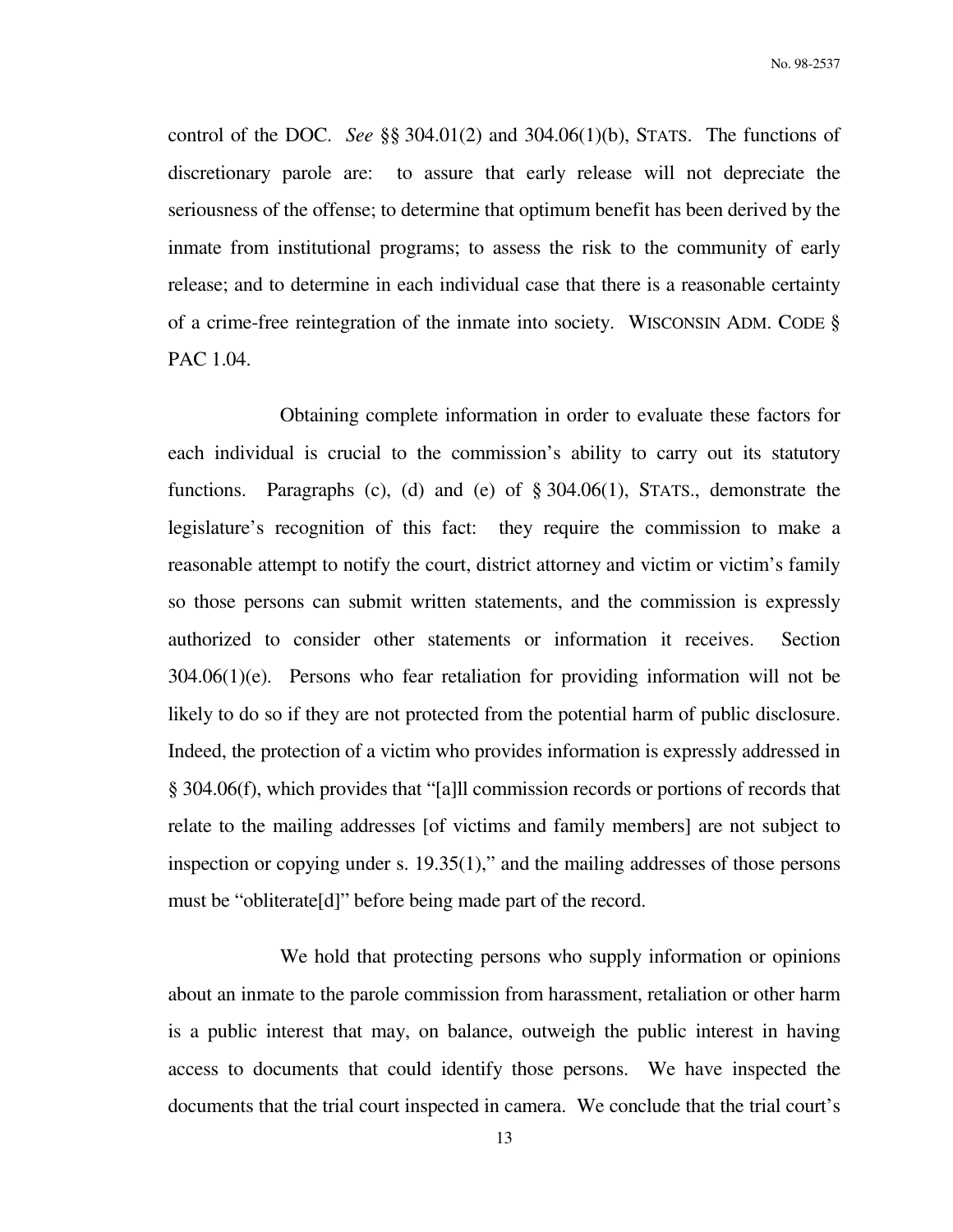No. 98-2537

control of the DOC. *See* §§ 304.01(2) and 304.06(1)(b), STATS. The functions of discretionary parole are: to assure that early release will not depreciate the seriousness of the offense; to determine that optimum benefit has been derived by the inmate from institutional programs; to assess the risk to the community of early release; and to determine in each individual case that there is a reasonable certainty of a crime-free reintegration of the inmate into society. WISCONSIN ADM. CODE § PAC 1.04.

 Obtaining complete information in order to evaluate these factors for each individual is crucial to the commission's ability to carry out its statutory functions. Paragraphs (c), (d) and (e) of § 304.06(1), STATS., demonstrate the legislature's recognition of this fact: they require the commission to make a reasonable attempt to notify the court, district attorney and victim or victim's family so those persons can submit written statements, and the commission is expressly authorized to consider other statements or information it receives. Section 304.06(1)(e). Persons who fear retaliation for providing information will not be likely to do so if they are not protected from the potential harm of public disclosure. Indeed, the protection of a victim who provides information is expressly addressed in § 304.06(f), which provides that "[a]ll commission records or portions of records that relate to the mailing addresses [of victims and family members] are not subject to inspection or copying under s. 19.35(1)," and the mailing addresses of those persons must be "obliterate[d]" before being made part of the record.

 We hold that protecting persons who supply information or opinions about an inmate to the parole commission from harassment, retaliation or other harm is a public interest that may, on balance, outweigh the public interest in having access to documents that could identify those persons. We have inspected the documents that the trial court inspected in camera. We conclude that the trial court's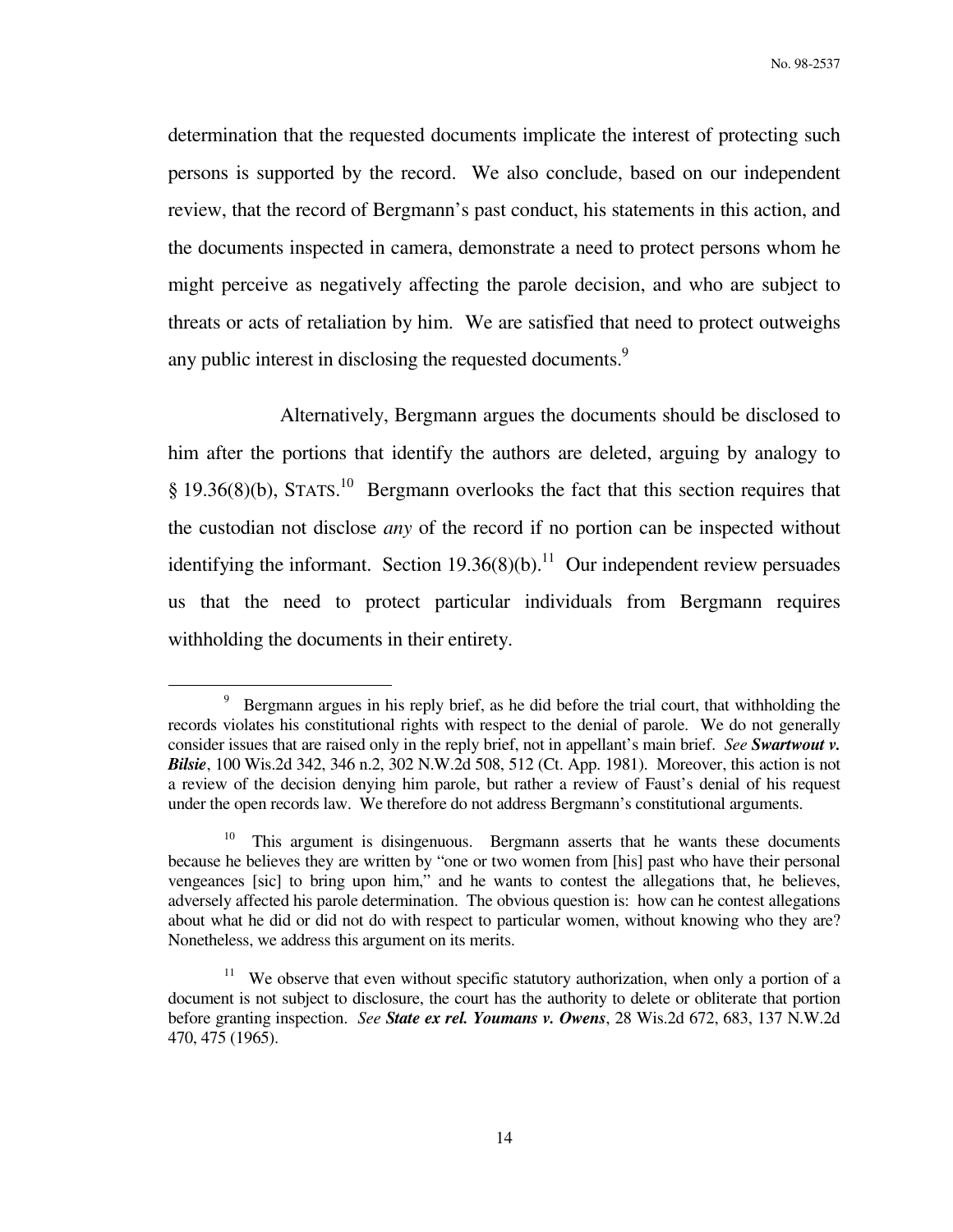determination that the requested documents implicate the interest of protecting such persons is supported by the record. We also conclude, based on our independent review, that the record of Bergmann's past conduct, his statements in this action, and the documents inspected in camera, demonstrate a need to protect persons whom he might perceive as negatively affecting the parole decision, and who are subject to threats or acts of retaliation by him. We are satisfied that need to protect outweighs any public interest in disclosing the requested documents.<sup>9</sup>

 Alternatively, Bergmann argues the documents should be disclosed to him after the portions that identify the authors are deleted, arguing by analogy to  $§$  19.36(8)(b), STATS.<sup>10</sup> Bergmann overlooks the fact that this section requires that the custodian not disclose *any* of the record if no portion can be inspected without identifying the informant. Section  $19.36(8)(b)$ .<sup>11</sup> Our independent review persuades us that the need to protect particular individuals from Bergmann requires withholding the documents in their entirety.

<sup>&</sup>lt;sup>9</sup> Bergmann argues in his reply brief, as he did before the trial court, that withholding the records violates his constitutional rights with respect to the denial of parole. We do not generally consider issues that are raised only in the reply brief, not in appellant's main brief. *See Swartwout v. Bilsie*, 100 Wis.2d 342, 346 n.2, 302 N.W.2d 508, 512 (Ct. App. 1981). Moreover, this action is not a review of the decision denying him parole, but rather a review of Faust's denial of his request under the open records law. We therefore do not address Bergmann's constitutional arguments.

<sup>10</sup> This argument is disingenuous. Bergmann asserts that he wants these documents because he believes they are written by "one or two women from [his] past who have their personal vengeances [sic] to bring upon him," and he wants to contest the allegations that, he believes, adversely affected his parole determination. The obvious question is: how can he contest allegations about what he did or did not do with respect to particular women, without knowing who they are? Nonetheless, we address this argument on its merits.

<sup>&</sup>lt;sup>11</sup> We observe that even without specific statutory authorization, when only a portion of a document is not subject to disclosure, the court has the authority to delete or obliterate that portion before granting inspection. *See State ex rel. Youmans v. Owens*, 28 Wis.2d 672, 683, 137 N.W.2d 470, 475 (1965).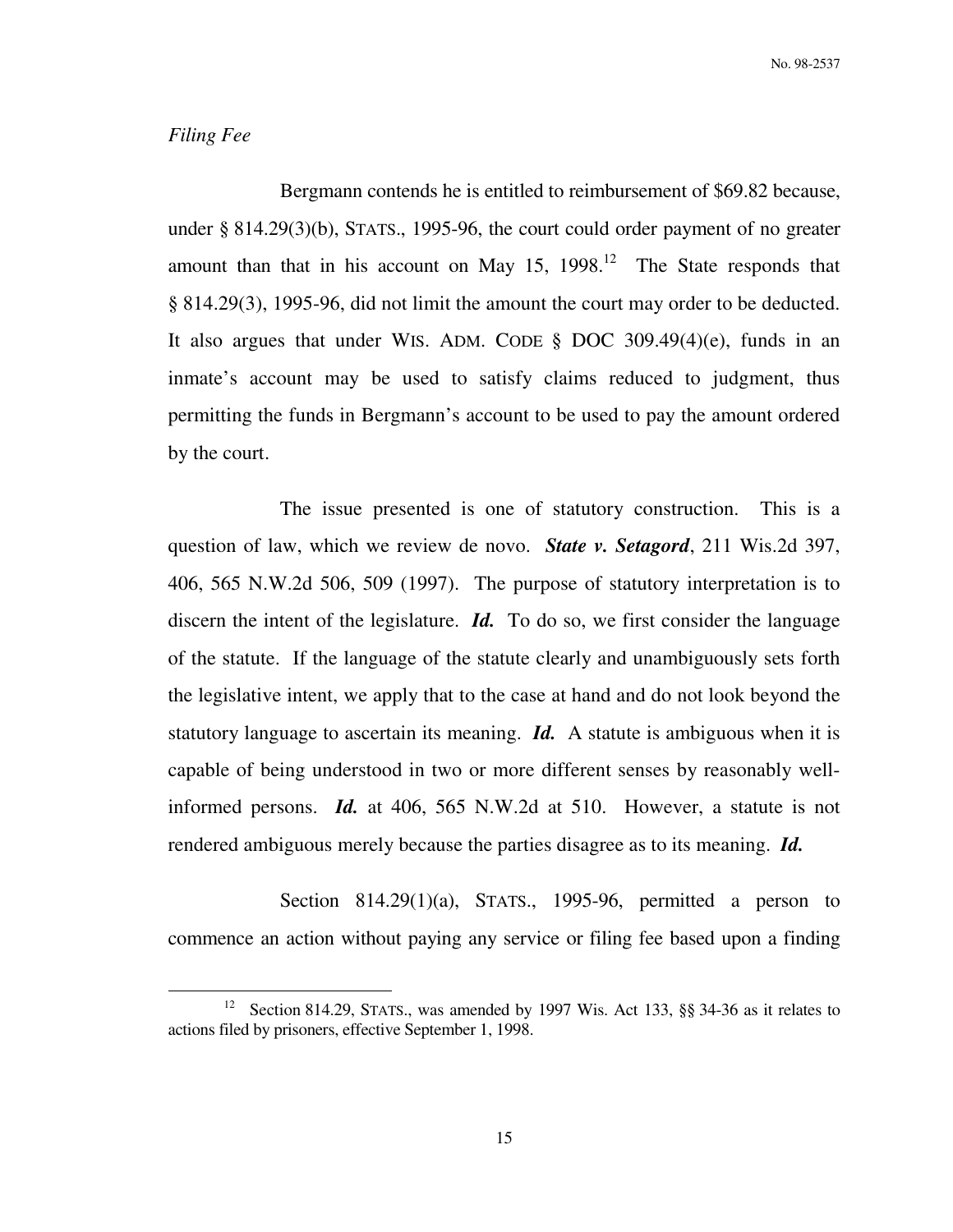### *Filing Fee*

 $\overline{a}$ 

 Bergmann contends he is entitled to reimbursement of \$69.82 because, under § 814.29(3)(b), STATS., 1995-96, the court could order payment of no greater amount than that in his account on May 15,  $1998$ <sup>12</sup>. The State responds that § 814.29(3), 1995-96, did not limit the amount the court may order to be deducted. It also argues that under WIS. ADM. CODE  $\S$  DOC 309.49(4)(e), funds in an inmate's account may be used to satisfy claims reduced to judgment, thus permitting the funds in Bergmann's account to be used to pay the amount ordered by the court.

 The issue presented is one of statutory construction. This is a question of law, which we review de novo. *State v. Setagord*, 211 Wis.2d 397, 406, 565 N.W.2d 506, 509 (1997). The purpose of statutory interpretation is to discern the intent of the legislature. *Id.* To do so, we first consider the language of the statute. If the language of the statute clearly and unambiguously sets forth the legislative intent, we apply that to the case at hand and do not look beyond the statutory language to ascertain its meaning. *Id.* A statute is ambiguous when it is capable of being understood in two or more different senses by reasonably wellinformed persons. *Id.* at 406, 565 N.W.2d at 510. However, a statute is not rendered ambiguous merely because the parties disagree as to its meaning. *Id.* 

Section  $814.29(1)(a)$ , STATS., 1995-96, permitted a person to commence an action without paying any service or filing fee based upon a finding

<sup>&</sup>lt;sup>12</sup> Section 814.29, STATS., was amended by 1997 Wis. Act 133, §§ 34-36 as it relates to actions filed by prisoners, effective September 1, 1998.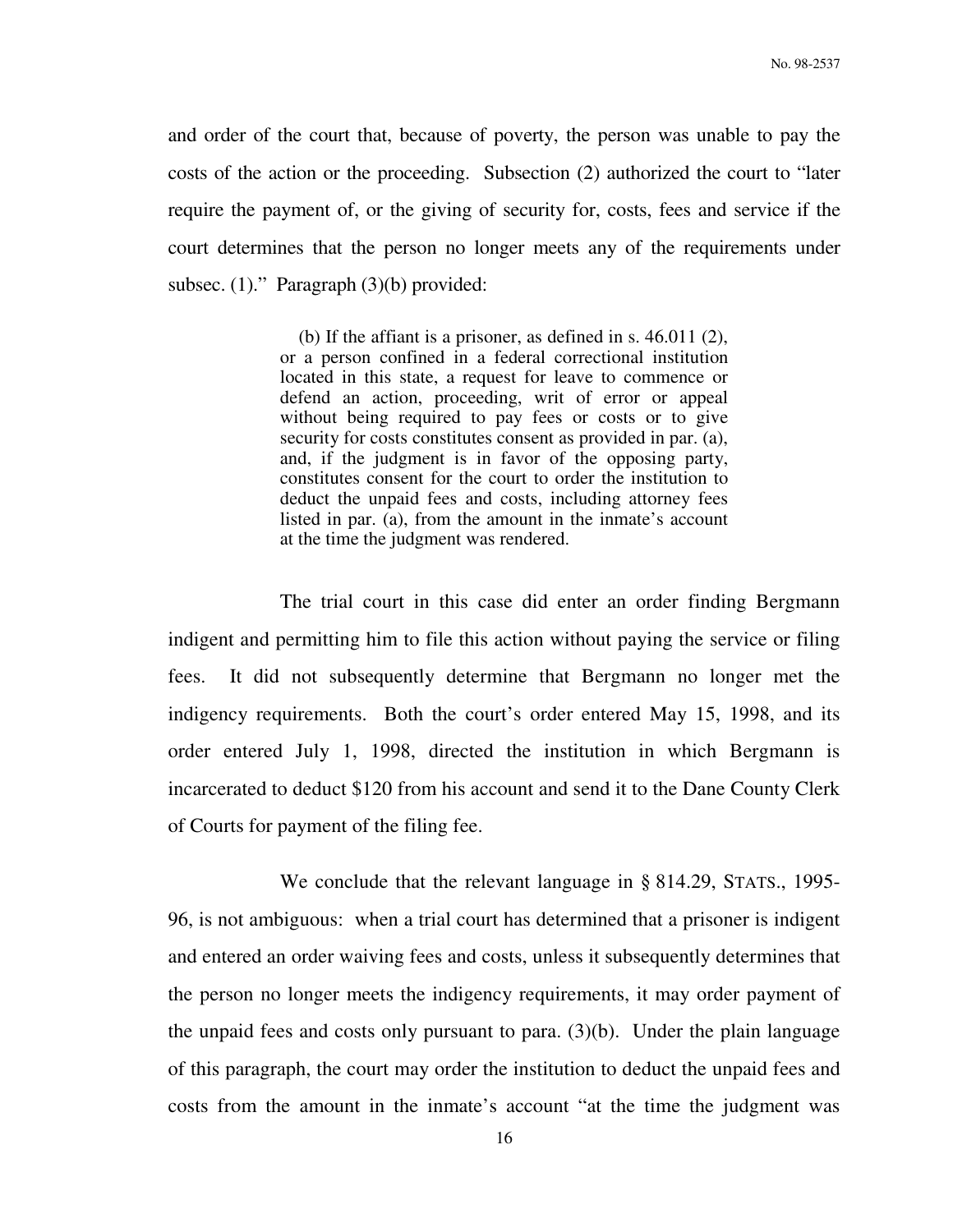and order of the court that, because of poverty, the person was unable to pay the costs of the action or the proceeding. Subsection (2) authorized the court to "later require the payment of, or the giving of security for, costs, fees and service if the court determines that the person no longer meets any of the requirements under subsec. (1)." Paragraph (3)(b) provided:

> (b) If the affiant is a prisoner, as defined in s. 46.011 (2), or a person confined in a federal correctional institution located in this state, a request for leave to commence or defend an action, proceeding, writ of error or appeal without being required to pay fees or costs or to give security for costs constitutes consent as provided in par. (a), and, if the judgment is in favor of the opposing party, constitutes consent for the court to order the institution to deduct the unpaid fees and costs, including attorney fees listed in par. (a), from the amount in the inmate's account at the time the judgment was rendered.

 The trial court in this case did enter an order finding Bergmann indigent and permitting him to file this action without paying the service or filing fees. It did not subsequently determine that Bergmann no longer met the indigency requirements. Both the court's order entered May 15, 1998, and its order entered July 1, 1998, directed the institution in which Bergmann is incarcerated to deduct \$120 from his account and send it to the Dane County Clerk of Courts for payment of the filing fee.

 We conclude that the relevant language in § 814.29, STATS., 1995- 96, is not ambiguous: when a trial court has determined that a prisoner is indigent and entered an order waiving fees and costs, unless it subsequently determines that the person no longer meets the indigency requirements, it may order payment of the unpaid fees and costs only pursuant to para. (3)(b). Under the plain language of this paragraph, the court may order the institution to deduct the unpaid fees and costs from the amount in the inmate's account "at the time the judgment was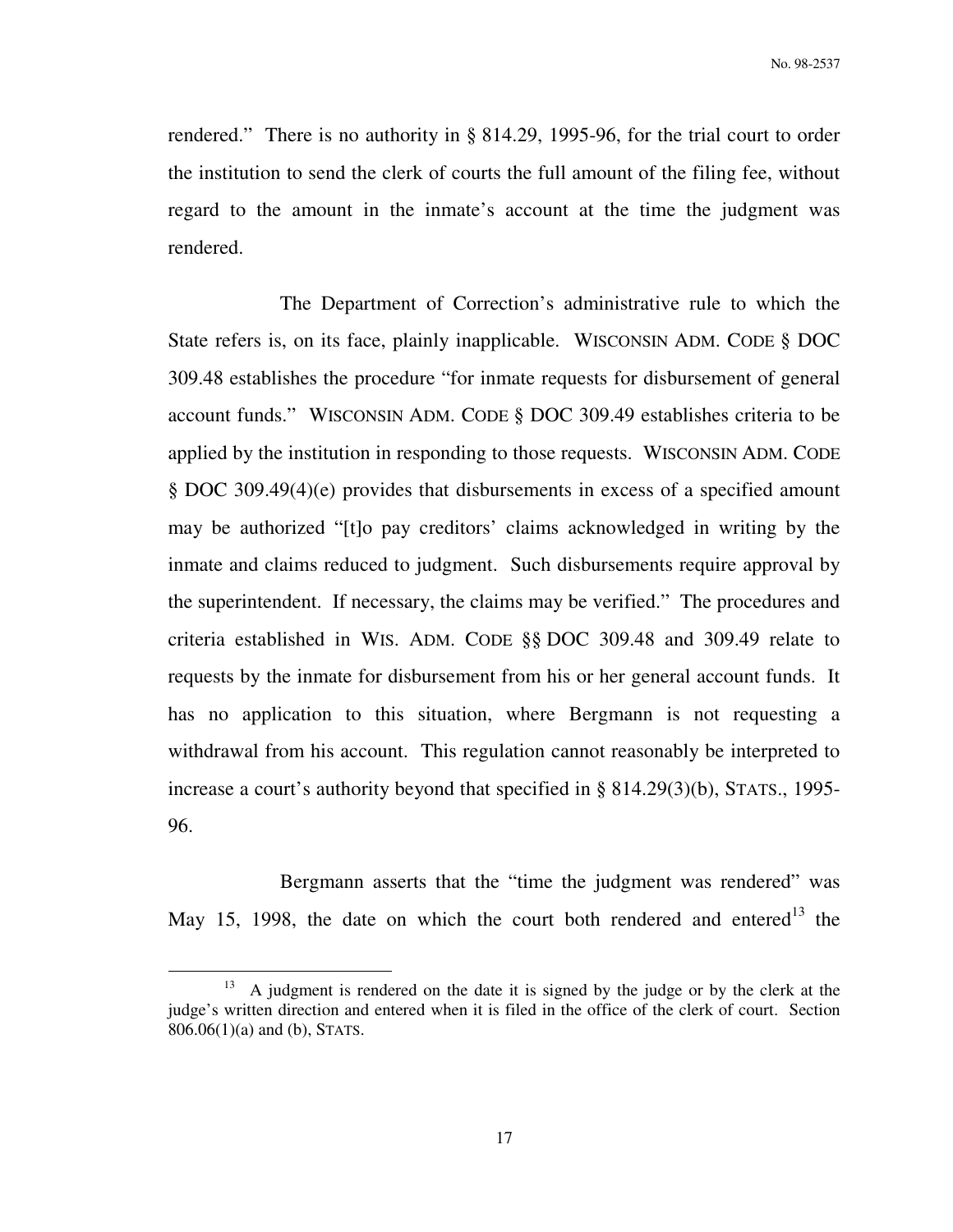rendered." There is no authority in § 814.29, 1995-96, for the trial court to order the institution to send the clerk of courts the full amount of the filing fee, without regard to the amount in the inmate's account at the time the judgment was rendered.

 The Department of Correction's administrative rule to which the State refers is, on its face, plainly inapplicable. WISCONSIN ADM. CODE § DOC 309.48 establishes the procedure "for inmate requests for disbursement of general account funds." WISCONSIN ADM. CODE § DOC 309.49 establishes criteria to be applied by the institution in responding to those requests. WISCONSIN ADM. CODE § DOC 309.49(4)(e) provides that disbursements in excess of a specified amount may be authorized "[t]o pay creditors' claims acknowledged in writing by the inmate and claims reduced to judgment. Such disbursements require approval by the superintendent. If necessary, the claims may be verified." The procedures and criteria established in WIS. ADM. CODE §§ DOC 309.48 and 309.49 relate to requests by the inmate for disbursement from his or her general account funds. It has no application to this situation, where Bergmann is not requesting a withdrawal from his account. This regulation cannot reasonably be interpreted to increase a court's authority beyond that specified in § 814.29(3)(b), STATS., 1995- 96.

Bergmann asserts that the "time the judgment was rendered" was May 15, 1998, the date on which the court both rendered and entered<sup>13</sup> the

<sup>&</sup>lt;sup>13</sup> A judgment is rendered on the date it is signed by the judge or by the clerk at the judge's written direction and entered when it is filed in the office of the clerk of court. Section 806.06(1)(a) and (b), STATS.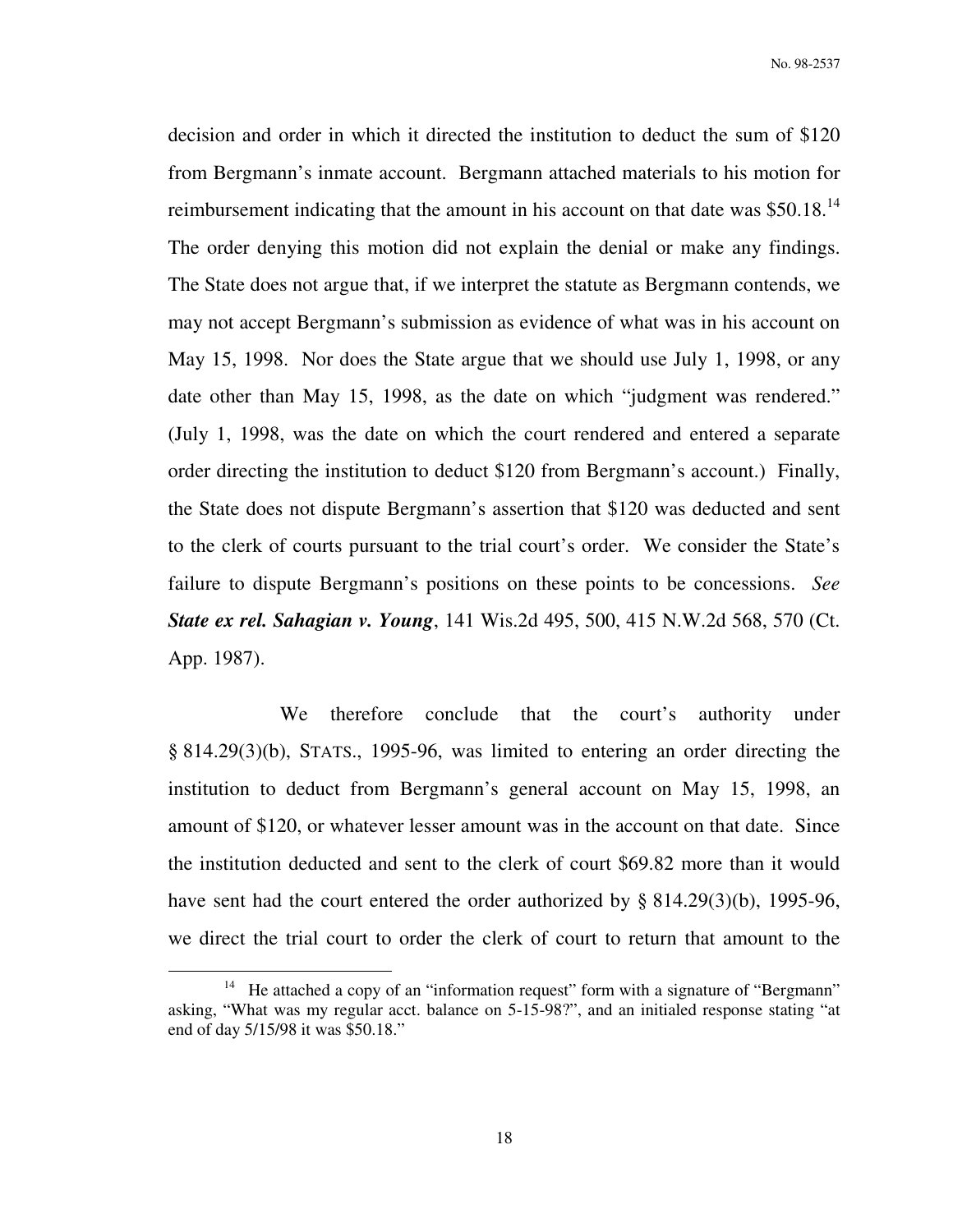No. 98-2537

decision and order in which it directed the institution to deduct the sum of \$120 from Bergmann's inmate account. Bergmann attached materials to his motion for reimbursement indicating that the amount in his account on that date was  $$50.18<sup>14</sup>$ The order denying this motion did not explain the denial or make any findings. The State does not argue that, if we interpret the statute as Bergmann contends, we may not accept Bergmann's submission as evidence of what was in his account on May 15, 1998. Nor does the State argue that we should use July 1, 1998, or any date other than May 15, 1998, as the date on which "judgment was rendered." (July 1, 1998, was the date on which the court rendered and entered a separate order directing the institution to deduct \$120 from Bergmann's account.) Finally, the State does not dispute Bergmann's assertion that \$120 was deducted and sent to the clerk of courts pursuant to the trial court's order. We consider the State's failure to dispute Bergmann's positions on these points to be concessions. *See State ex rel. Sahagian v. Young*, 141 Wis.2d 495, 500, 415 N.W.2d 568, 570 (Ct. App. 1987).

We therefore conclude that the court's authority under § 814.29(3)(b), STATS., 1995-96, was limited to entering an order directing the institution to deduct from Bergmann's general account on May 15, 1998, an amount of \$120, or whatever lesser amount was in the account on that date. Since the institution deducted and sent to the clerk of court \$69.82 more than it would have sent had the court entered the order authorized by § 814.29(3)(b), 1995-96, we direct the trial court to order the clerk of court to return that amount to the

<sup>&</sup>lt;sup>14</sup> He attached a copy of an "information request" form with a signature of "Bergmann" asking, "What was my regular acct. balance on 5-15-98?", and an initialed response stating "at end of day 5/15/98 it was \$50.18."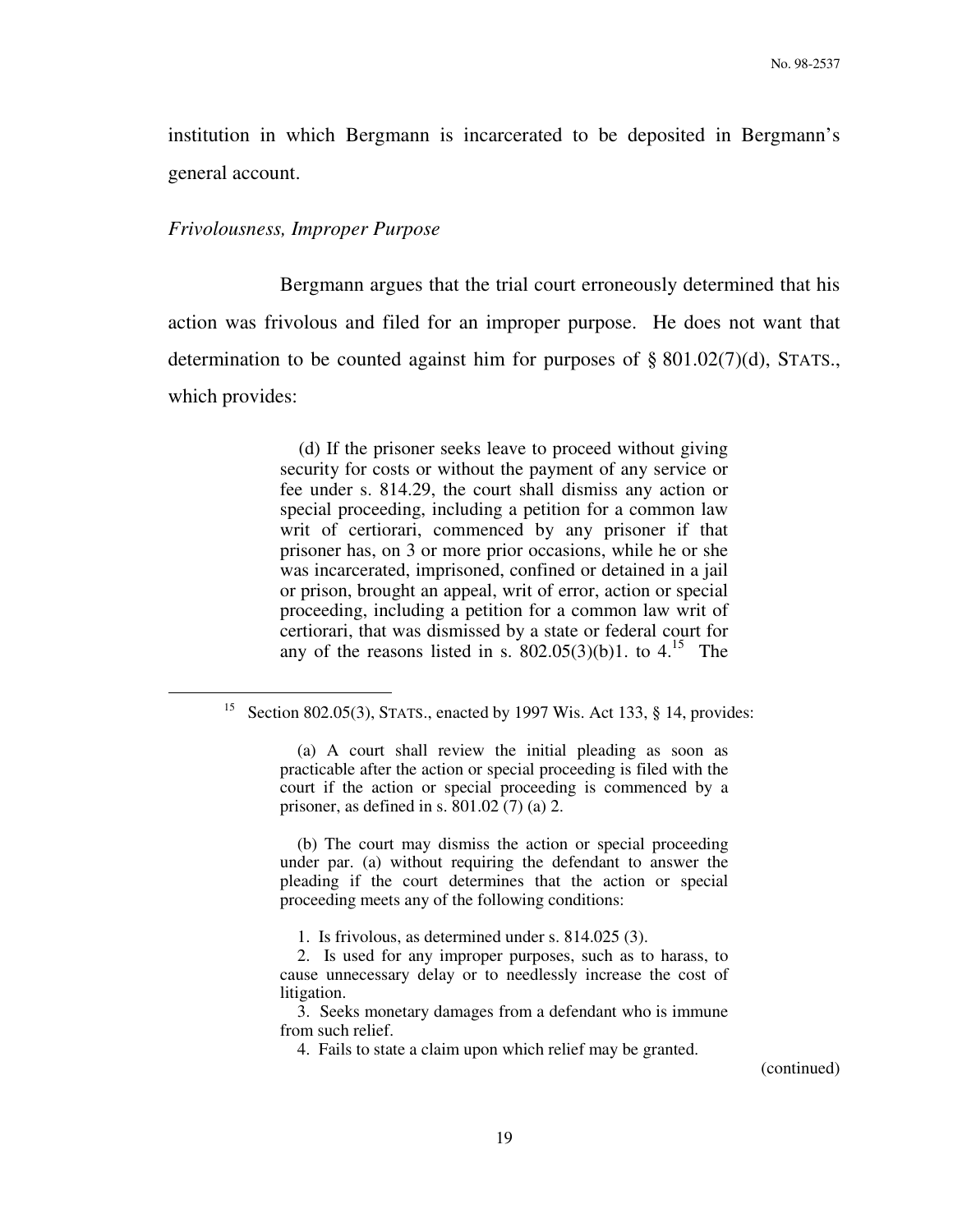institution in which Bergmann is incarcerated to be deposited in Bergmann's general account.

#### *Frivolousness, Improper Purpose*

 $\overline{a}$ 

 Bergmann argues that the trial court erroneously determined that his action was frivolous and filed for an improper purpose. He does not want that determination to be counted against him for purposes of § 801.02(7)(d), STATS., which provides:

> (d) If the prisoner seeks leave to proceed without giving security for costs or without the payment of any service or fee under s. 814.29, the court shall dismiss any action or special proceeding, including a petition for a common law writ of certiorari, commenced by any prisoner if that prisoner has, on 3 or more prior occasions, while he or she was incarcerated, imprisoned, confined or detained in a jail or prison, brought an appeal, writ of error, action or special proceeding, including a petition for a common law writ of certiorari, that was dismissed by a state or federal court for any of the reasons listed in s.  $802.05(3)(b)1$ . to  $4.15$  The

 (b) The court may dismiss the action or special proceeding under par. (a) without requiring the defendant to answer the pleading if the court determines that the action or special proceeding meets any of the following conditions:

1. Is frivolous, as determined under s. 814.025 (3).

 3. Seeks monetary damages from a defendant who is immune from such relief.

4. Fails to state a claim upon which relief may be granted.

<sup>&</sup>lt;sup>15</sup> Section 802.05(3), STATS., enacted by 1997 Wis. Act 133, § 14, provides:

 <sup>(</sup>a) A court shall review the initial pleading as soon as practicable after the action or special proceeding is filed with the court if the action or special proceeding is commenced by a prisoner, as defined in s.  $801.02(7)$  (a) 2.

 <sup>2.</sup> Is used for any improper purposes, such as to harass, to cause unnecessary delay or to needlessly increase the cost of litigation.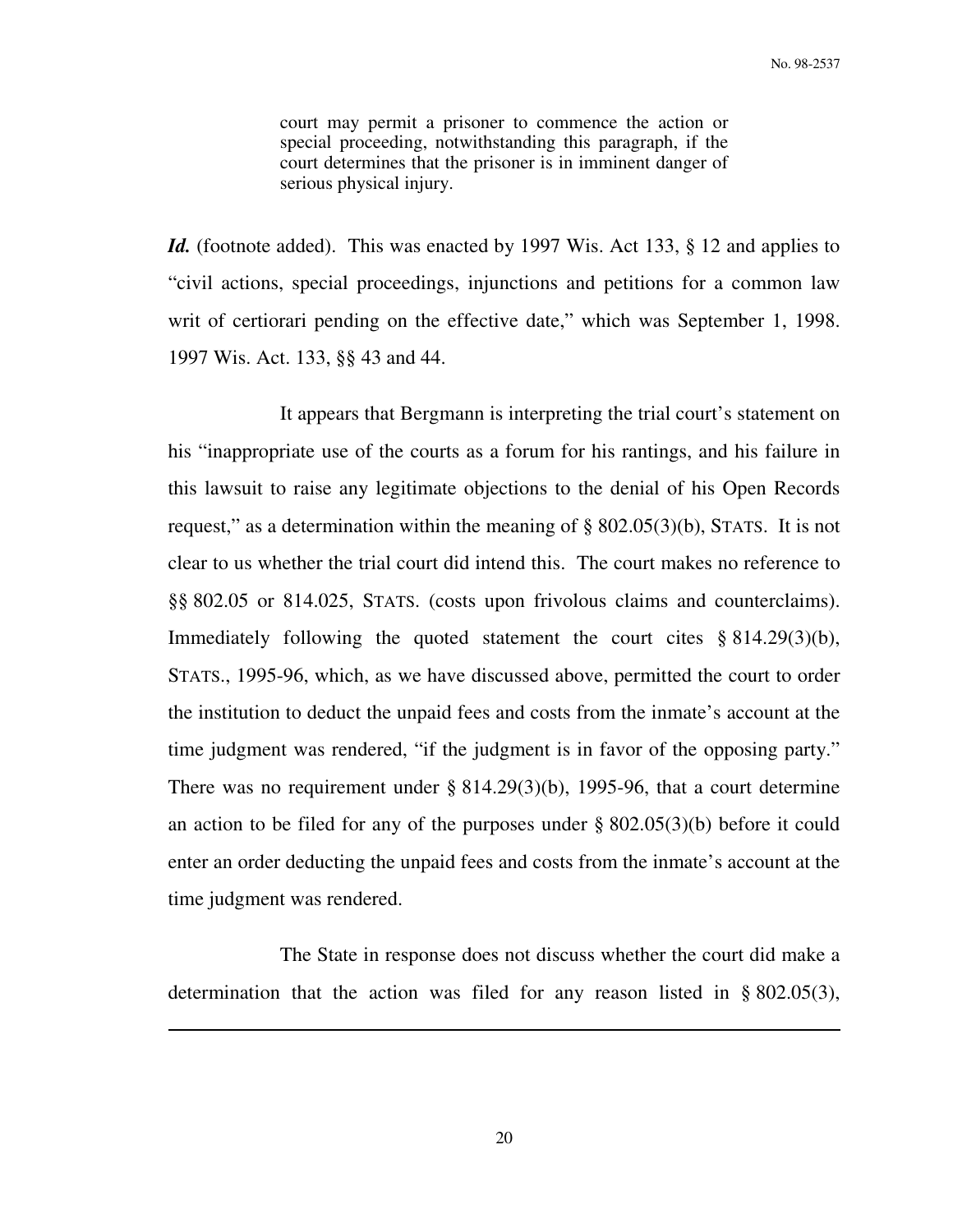court may permit a prisoner to commence the action or special proceeding, notwithstanding this paragraph, if the court determines that the prisoner is in imminent danger of serious physical injury.

*Id.* (footnote added). This was enacted by 1997 Wis. Act 133, § 12 and applies to "civil actions, special proceedings, injunctions and petitions for a common law writ of certiorari pending on the effective date," which was September 1, 1998. 1997 Wis. Act. 133, §§ 43 and 44.

 It appears that Bergmann is interpreting the trial court's statement on his "inappropriate use of the courts as a forum for his rantings, and his failure in this lawsuit to raise any legitimate objections to the denial of his Open Records request," as a determination within the meaning of § 802.05(3)(b), STATS. It is not clear to us whether the trial court did intend this. The court makes no reference to §§ 802.05 or 814.025, STATS. (costs upon frivolous claims and counterclaims). Immediately following the quoted statement the court cites § 814.29(3)(b), STATS., 1995-96, which, as we have discussed above, permitted the court to order the institution to deduct the unpaid fees and costs from the inmate's account at the time judgment was rendered, "if the judgment is in favor of the opposing party." There was no requirement under § 814.29(3)(b), 1995-96, that a court determine an action to be filed for any of the purposes under § 802.05(3)(b) before it could enter an order deducting the unpaid fees and costs from the inmate's account at the time judgment was rendered.

 The State in response does not discuss whether the court did make a determination that the action was filed for any reason listed in § 802.05(3),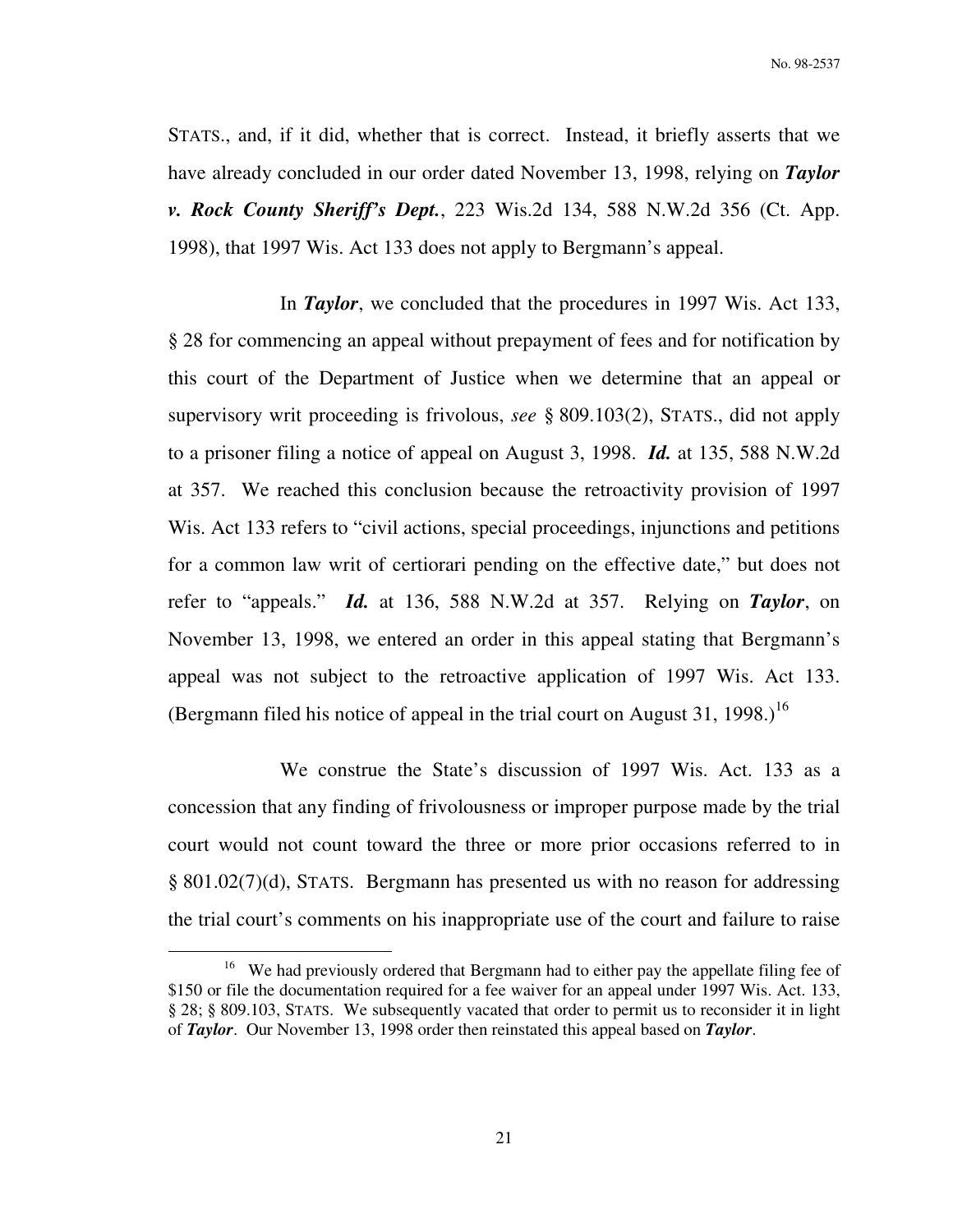STATS., and, if it did, whether that is correct. Instead, it briefly asserts that we have already concluded in our order dated November 13, 1998, relying on *Taylor v. Rock County Sheriff's Dept.*, 223 Wis.2d 134, 588 N.W.2d 356 (Ct. App. 1998), that 1997 Wis. Act 133 does not apply to Bergmann's appeal.

 In *Taylor*, we concluded that the procedures in 1997 Wis. Act 133, § 28 for commencing an appeal without prepayment of fees and for notification by this court of the Department of Justice when we determine that an appeal or supervisory writ proceeding is frivolous, *see* § 809.103(2), STATS., did not apply to a prisoner filing a notice of appeal on August 3, 1998. *Id.* at 135, 588 N.W.2d at 357. We reached this conclusion because the retroactivity provision of 1997 Wis. Act 133 refers to "civil actions, special proceedings, injunctions and petitions for a common law writ of certiorari pending on the effective date," but does not refer to "appeals." *Id.* at 136, 588 N.W.2d at 357. Relying on *Taylor*, on November 13, 1998, we entered an order in this appeal stating that Bergmann's appeal was not subject to the retroactive application of 1997 Wis. Act 133. (Bergmann filed his notice of appeal in the trial court on August 31, 1998.)<sup>16</sup>

 We construe the State's discussion of 1997 Wis. Act. 133 as a concession that any finding of frivolousness or improper purpose made by the trial court would not count toward the three or more prior occasions referred to in § 801.02(7)(d), STATS. Bergmann has presented us with no reason for addressing the trial court's comments on his inappropriate use of the court and failure to raise

<sup>&</sup>lt;sup>16</sup> We had previously ordered that Bergmann had to either pay the appellate filing fee of \$150 or file the documentation required for a fee waiver for an appeal under 1997 Wis. Act. 133, § 28; § 809.103, STATS. We subsequently vacated that order to permit us to reconsider it in light of *Taylor*. Our November 13, 1998 order then reinstated this appeal based on *Taylor*.